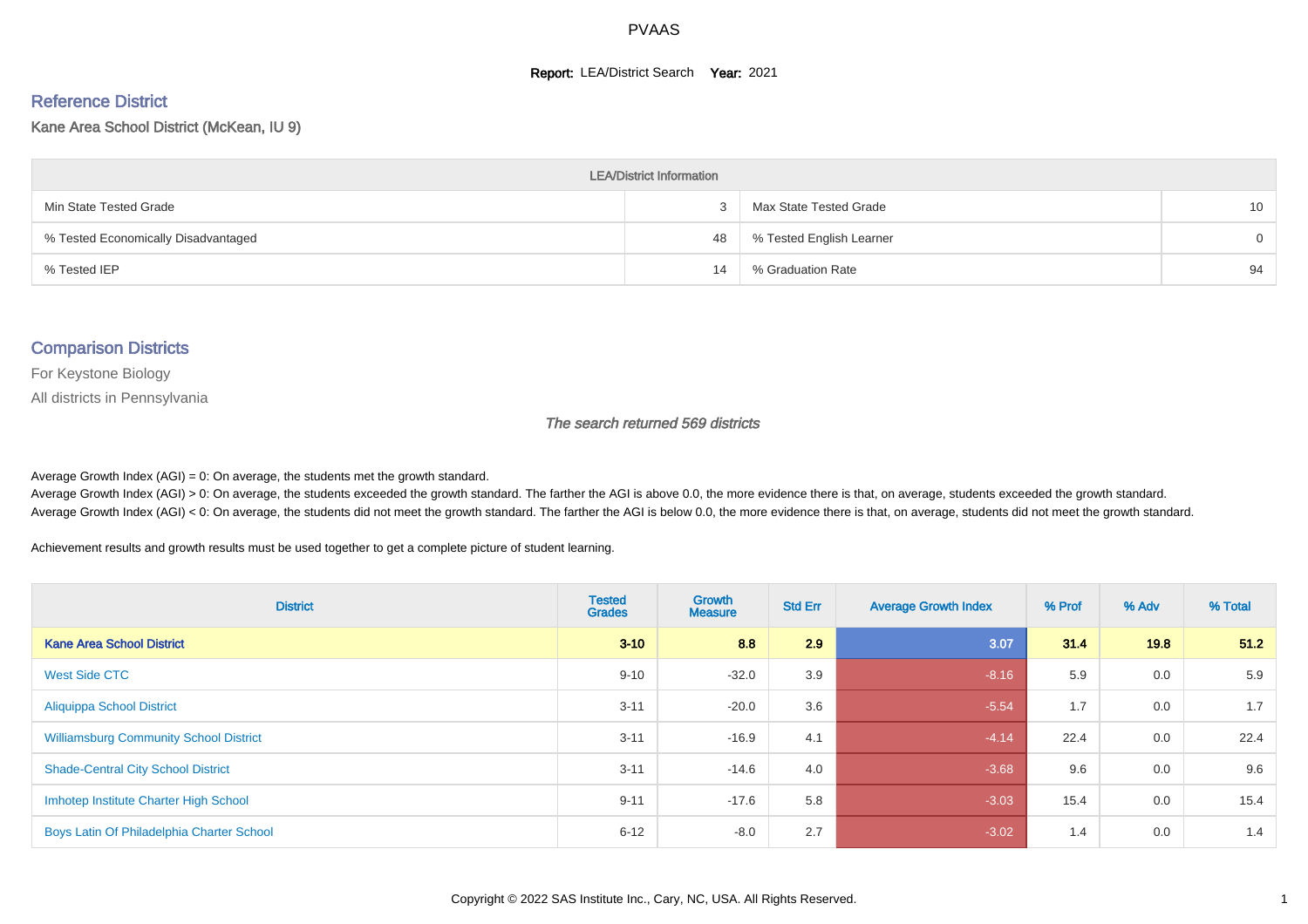#### **Report: LEA/District Search Year: 2021**

# Reference District

#### Kane Area School District (McKean, IU 9)

| <b>LEA/District Information</b>     |    |                          |          |  |  |  |  |  |  |  |
|-------------------------------------|----|--------------------------|----------|--|--|--|--|--|--|--|
| Min State Tested Grade              |    | Max State Tested Grade   | 10       |  |  |  |  |  |  |  |
| % Tested Economically Disadvantaged | 48 | % Tested English Learner | $\Omega$ |  |  |  |  |  |  |  |
| % Tested IEP                        | 14 | % Graduation Rate        | 94       |  |  |  |  |  |  |  |

#### Comparison Districts

For Keystone Biology

All districts in Pennsylvania

The search returned 569 districts

Average Growth Index  $(AGI) = 0$ : On average, the students met the growth standard.

Average Growth Index (AGI) > 0: On average, the students exceeded the growth standard. The farther the AGI is above 0.0, the more evidence there is that, on average, students exceeded the growth standard. Average Growth Index (AGI) < 0: On average, the students did not meet the growth standard. The farther the AGI is below 0.0, the more evidence there is that, on average, students did not meet the growth standard.

Achievement results and growth results must be used together to get a complete picture of student learning.

| <b>District</b>                               | <b>Tested</b><br><b>Grades</b> | <b>Growth</b><br><b>Measure</b> | <b>Std Err</b> | <b>Average Growth Index</b> | % Prof | % Adv | % Total |
|-----------------------------------------------|--------------------------------|---------------------------------|----------------|-----------------------------|--------|-------|---------|
| <b>Kane Area School District</b>              | $3 - 10$                       | 8.8                             | 2.9            | 3.07                        | 31.4   | 19.8  | 51.2    |
| West Side CTC                                 | $9 - 10$                       | $-32.0$                         | 3.9            | $-8.16$                     | 5.9    | 0.0   | 5.9     |
| <b>Aliquippa School District</b>              | $3 - 11$                       | $-20.0$                         | 3.6            | $-5.54$                     | 1.7    | 0.0   | 1.7     |
| <b>Williamsburg Community School District</b> | $3 - 11$                       | $-16.9$                         | 4.1            | $-4.14$                     | 22.4   | 0.0   | 22.4    |
| <b>Shade-Central City School District</b>     | $3 - 11$                       | $-14.6$                         | 4.0            | $-3.68$                     | 9.6    | 0.0   | 9.6     |
| Imhotep Institute Charter High School         | $9 - 11$                       | $-17.6$                         | 5.8            | $-3.03$                     | 15.4   | 0.0   | 15.4    |
| Boys Latin Of Philadelphia Charter School     | $6 - 12$                       | $-8.0$                          | 2.7            | $-3.02$                     | 1.4    | 0.0   | 1.4     |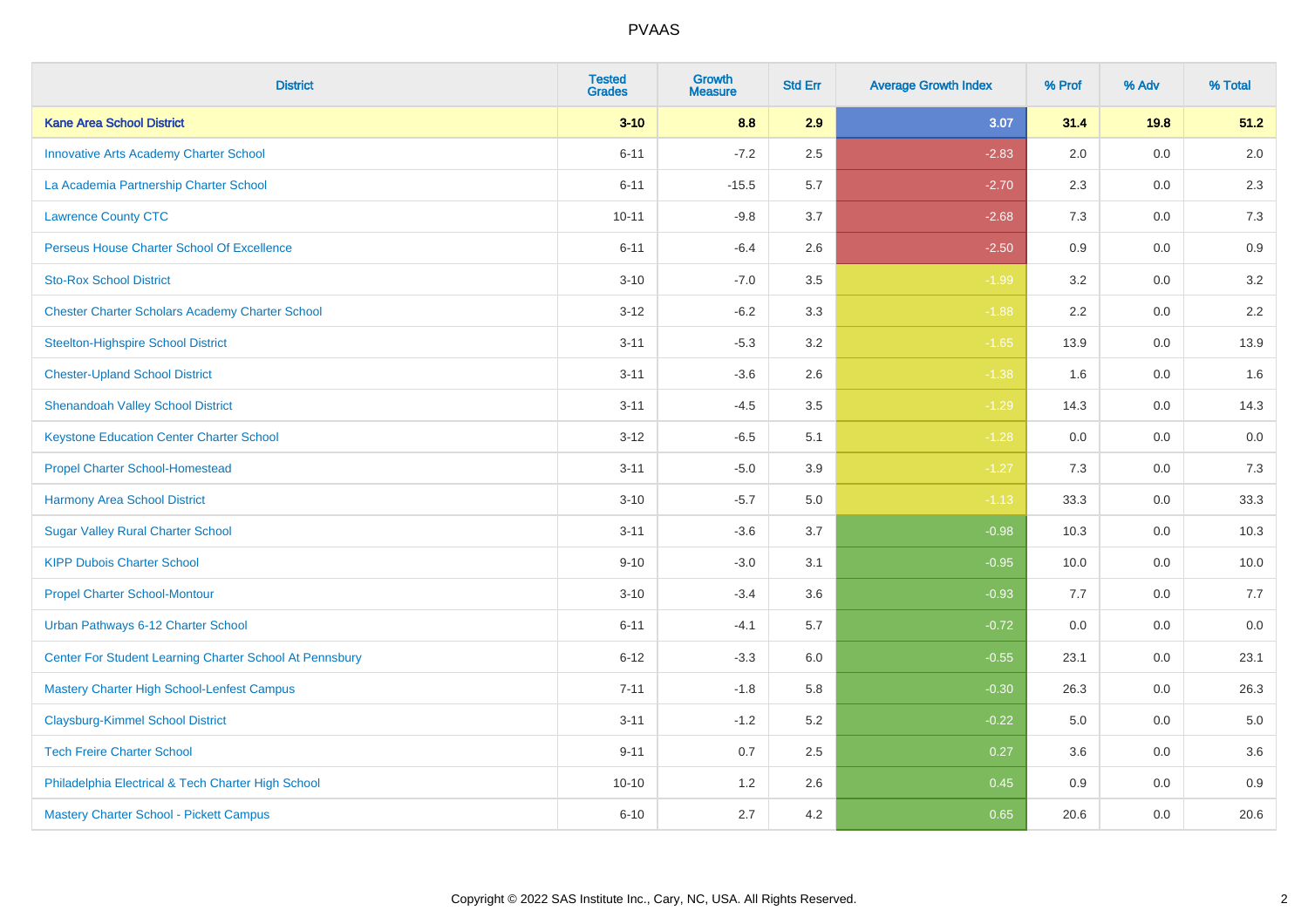| <b>District</b>                                         | <b>Tested</b><br><b>Grades</b> | <b>Growth</b><br><b>Measure</b> | <b>Std Err</b> | <b>Average Growth Index</b> | % Prof | % Adv | % Total |
|---------------------------------------------------------|--------------------------------|---------------------------------|----------------|-----------------------------|--------|-------|---------|
| <b>Kane Area School District</b>                        | $3 - 10$                       | 8.8                             | 2.9            | 3.07                        | 31.4   | 19.8  | 51.2    |
| <b>Innovative Arts Academy Charter School</b>           | $6 - 11$                       | $-7.2$                          | 2.5            | $-2.83$                     | 2.0    | 0.0   | $2.0\,$ |
| La Academia Partnership Charter School                  | $6 - 11$                       | $-15.5$                         | 5.7            | $-2.70$                     | 2.3    | 0.0   | 2.3     |
| <b>Lawrence County CTC</b>                              | $10 - 11$                      | $-9.8$                          | 3.7            | $-2.68$                     | 7.3    | 0.0   | 7.3     |
| Perseus House Charter School Of Excellence              | $6 - 11$                       | $-6.4$                          | 2.6            | $-2.50$                     | 0.9    | 0.0   | 0.9     |
| <b>Sto-Rox School District</b>                          | $3 - 10$                       | $-7.0$                          | 3.5            | $-1.99$                     | 3.2    | 0.0   | 3.2     |
| <b>Chester Charter Scholars Academy Charter School</b>  | $3 - 12$                       | $-6.2$                          | 3.3            | $-1.88$                     | 2.2    | 0.0   | 2.2     |
| <b>Steelton-Highspire School District</b>               | $3 - 11$                       | $-5.3$                          | 3.2            | $-1.65$                     | 13.9   | 0.0   | 13.9    |
| <b>Chester-Upland School District</b>                   | $3 - 11$                       | $-3.6$                          | 2.6            | $-1.38$                     | 1.6    | 0.0   | 1.6     |
| <b>Shenandoah Valley School District</b>                | $3 - 11$                       | $-4.5$                          | 3.5            | $-1.29$                     | 14.3   | 0.0   | 14.3    |
| <b>Keystone Education Center Charter School</b>         | $3 - 12$                       | $-6.5$                          | 5.1            | $-1.28$                     | 0.0    | 0.0   | 0.0     |
| <b>Propel Charter School-Homestead</b>                  | $3 - 11$                       | $-5.0$                          | 3.9            | $-1.27$                     | 7.3    | 0.0   | 7.3     |
| <b>Harmony Area School District</b>                     | $3 - 10$                       | $-5.7$                          | $5.0\,$        | $-1.13$                     | 33.3   | 0.0   | 33.3    |
| <b>Sugar Valley Rural Charter School</b>                | $3 - 11$                       | $-3.6$                          | 3.7            | $-0.98$                     | 10.3   | 0.0   | 10.3    |
| <b>KIPP Dubois Charter School</b>                       | $9 - 10$                       | $-3.0$                          | 3.1            | $-0.95$                     | 10.0   | 0.0   | 10.0    |
| <b>Propel Charter School-Montour</b>                    | $3 - 10$                       | $-3.4$                          | 3.6            | $-0.93$                     | 7.7    | 0.0   | 7.7     |
| Urban Pathways 6-12 Charter School                      | $6 - 11$                       | $-4.1$                          | 5.7            | $-0.72$                     | 0.0    | 0.0   | 0.0     |
| Center For Student Learning Charter School At Pennsbury | $6 - 12$                       | $-3.3$                          | 6.0            | $-0.55$                     | 23.1   | 0.0   | 23.1    |
| <b>Mastery Charter High School-Lenfest Campus</b>       | $7 - 11$                       | $-1.8$                          | 5.8            | $-0.30$                     | 26.3   | 0.0   | 26.3    |
| <b>Claysburg-Kimmel School District</b>                 | $3 - 11$                       | $-1.2$                          | 5.2            | $-0.22$                     | 5.0    | 0.0   | 5.0     |
| <b>Tech Freire Charter School</b>                       | $9 - 11$                       | 0.7                             | 2.5            | 0.27                        | 3.6    | 0.0   | 3.6     |
| Philadelphia Electrical & Tech Charter High School      | $10 - 10$                      | 1.2                             | 2.6            | 0.45                        | 0.9    | 0.0   | 0.9     |
| Mastery Charter School - Pickett Campus                 | $6 - 10$                       | 2.7                             | 4.2            | 0.65                        | 20.6   | 0.0   | 20.6    |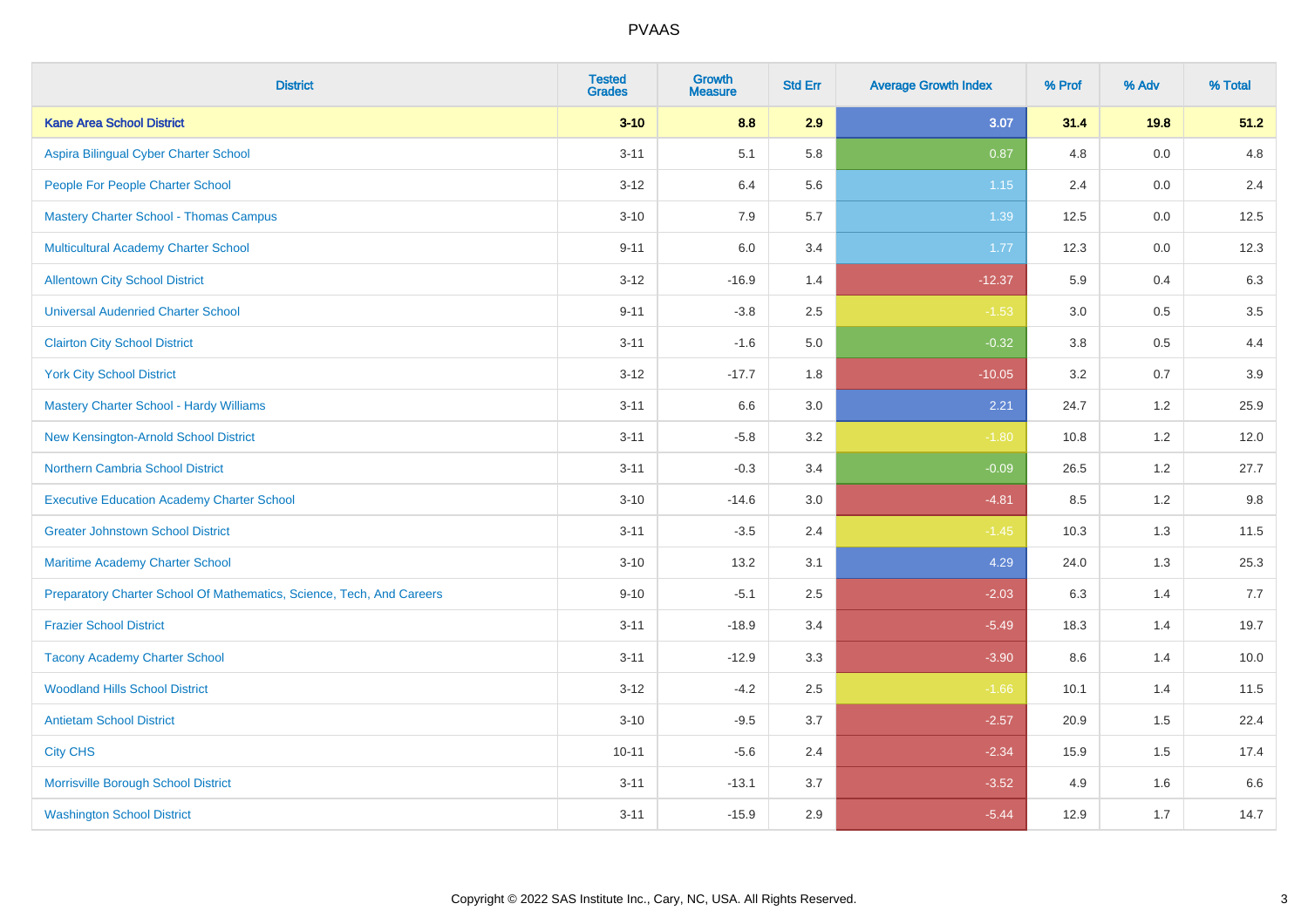| <b>District</b>                                                       | <b>Tested</b><br><b>Grades</b> | <b>Growth</b><br><b>Measure</b> | <b>Std Err</b> | <b>Average Growth Index</b> | % Prof | % Adv   | % Total |
|-----------------------------------------------------------------------|--------------------------------|---------------------------------|----------------|-----------------------------|--------|---------|---------|
| <b>Kane Area School District</b>                                      | $3 - 10$                       | 8.8                             | 2.9            | 3.07                        | 31.4   | 19.8    | 51.2    |
| Aspira Bilingual Cyber Charter School                                 | $3 - 11$                       | 5.1                             | 5.8            | 0.87                        | 4.8    | 0.0     | 4.8     |
| People For People Charter School                                      | $3 - 12$                       | 6.4                             | 5.6            | 1.15                        | 2.4    | 0.0     | 2.4     |
| <b>Mastery Charter School - Thomas Campus</b>                         | $3 - 10$                       | 7.9                             | 5.7            | 1.39                        | 12.5   | $0.0\,$ | 12.5    |
| Multicultural Academy Charter School                                  | $9 - 11$                       | 6.0                             | 3.4            | 1.77                        | 12.3   | 0.0     | 12.3    |
| <b>Allentown City School District</b>                                 | $3 - 12$                       | $-16.9$                         | 1.4            | $-12.37$                    | 5.9    | 0.4     | 6.3     |
| <b>Universal Audenried Charter School</b>                             | $9 - 11$                       | $-3.8$                          | 2.5            | $-1.53$                     | 3.0    | 0.5     | 3.5     |
| <b>Clairton City School District</b>                                  | $3 - 11$                       | $-1.6$                          | $5.0\,$        | $-0.32$                     | 3.8    | 0.5     | 4.4     |
| <b>York City School District</b>                                      | $3 - 12$                       | $-17.7$                         | 1.8            | $-10.05$                    | 3.2    | 0.7     | 3.9     |
| <b>Mastery Charter School - Hardy Williams</b>                        | $3 - 11$                       | 6.6                             | 3.0            | 2.21                        | 24.7   | 1.2     | 25.9    |
| New Kensington-Arnold School District                                 | $3 - 11$                       | $-5.8$                          | 3.2            | $-1.80$                     | 10.8   | 1.2     | 12.0    |
| <b>Northern Cambria School District</b>                               | $3 - 11$                       | $-0.3$                          | 3.4            | $-0.09$                     | 26.5   | 1.2     | 27.7    |
| <b>Executive Education Academy Charter School</b>                     | $3 - 10$                       | $-14.6$                         | 3.0            | $-4.81$                     | 8.5    | 1.2     | 9.8     |
| <b>Greater Johnstown School District</b>                              | $3 - 11$                       | $-3.5$                          | 2.4            | $-1.45$                     | 10.3   | 1.3     | 11.5    |
| Maritime Academy Charter School                                       | $3 - 10$                       | 13.2                            | 3.1            | 4.29                        | 24.0   | 1.3     | 25.3    |
| Preparatory Charter School Of Mathematics, Science, Tech, And Careers | $9 - 10$                       | $-5.1$                          | 2.5            | $-2.03$                     | 6.3    | 1.4     | 7.7     |
| <b>Frazier School District</b>                                        | $3 - 11$                       | $-18.9$                         | 3.4            | $-5.49$                     | 18.3   | 1.4     | 19.7    |
| <b>Tacony Academy Charter School</b>                                  | $3 - 11$                       | $-12.9$                         | 3.3            | $-3.90$                     | 8.6    | 1.4     | 10.0    |
| <b>Woodland Hills School District</b>                                 | $3 - 12$                       | $-4.2$                          | 2.5            | $-1.66$                     | 10.1   | 1.4     | 11.5    |
| <b>Antietam School District</b>                                       | $3 - 10$                       | $-9.5$                          | 3.7            | $-2.57$                     | 20.9   | 1.5     | 22.4    |
| <b>City CHS</b>                                                       | $10 - 11$                      | $-5.6$                          | 2.4            | $-2.34$                     | 15.9   | 1.5     | 17.4    |
| Morrisville Borough School District                                   | $3 - 11$                       | $-13.1$                         | 3.7            | $-3.52$                     | 4.9    | 1.6     | 6.6     |
| <b>Washington School District</b>                                     | $3 - 11$                       | $-15.9$                         | 2.9            | $-5.44$                     | 12.9   | 1.7     | 14.7    |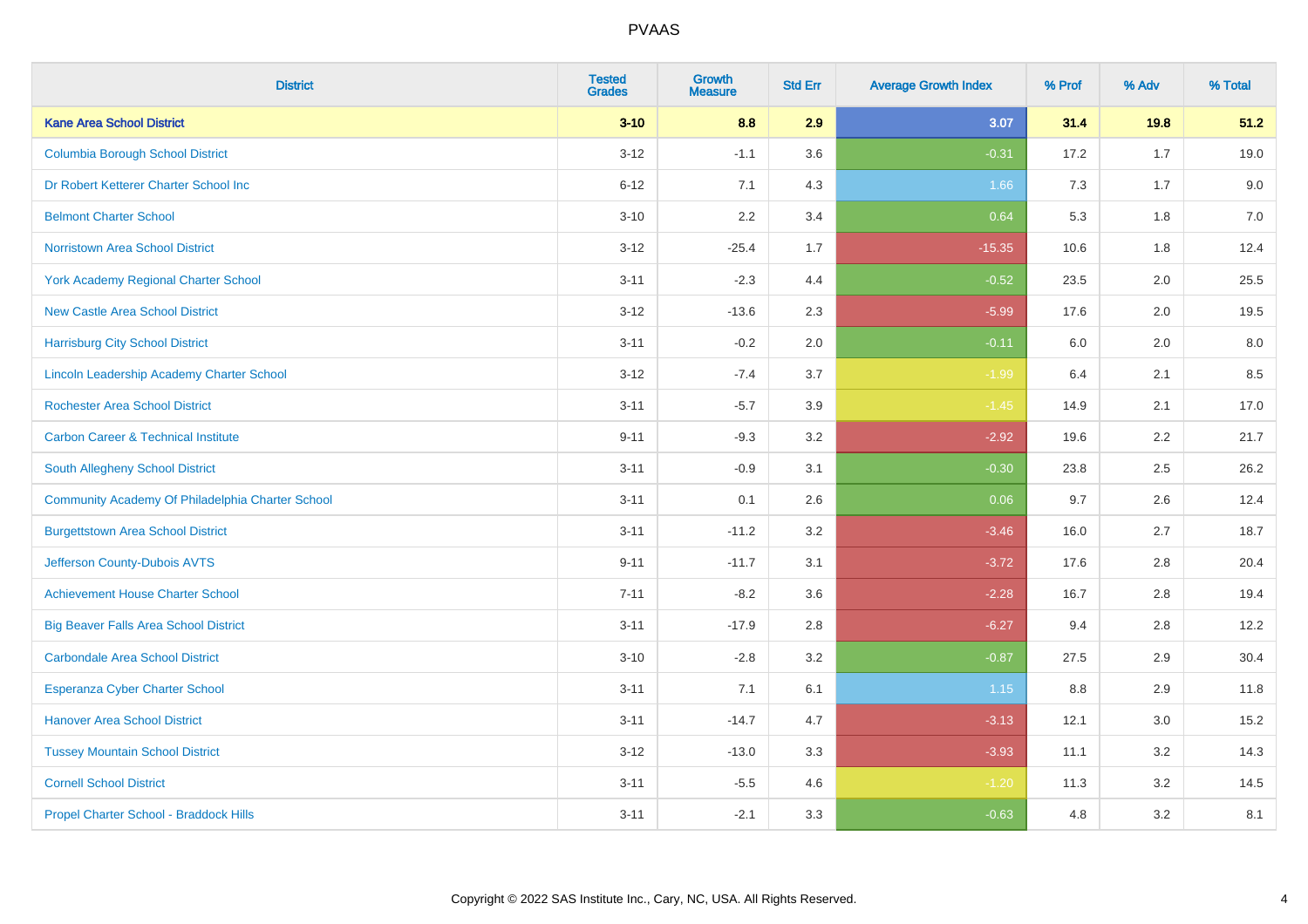| <b>District</b>                                  | <b>Tested</b><br><b>Grades</b> | <b>Growth</b><br><b>Measure</b> | <b>Std Err</b> | <b>Average Growth Index</b> | % Prof | % Adv | % Total |
|--------------------------------------------------|--------------------------------|---------------------------------|----------------|-----------------------------|--------|-------|---------|
| <b>Kane Area School District</b>                 | $3 - 10$                       | 8.8                             | 2.9            | 3.07                        | 31.4   | 19.8  | 51.2    |
| <b>Columbia Borough School District</b>          | $3 - 12$                       | $-1.1$                          | 3.6            | $-0.31$                     | 17.2   | 1.7   | 19.0    |
| Dr Robert Ketterer Charter School Inc            | $6 - 12$                       | 7.1                             | 4.3            | 1.66                        | 7.3    | 1.7   | 9.0     |
| <b>Belmont Charter School</b>                    | $3 - 10$                       | 2.2                             | 3.4            | 0.64                        | 5.3    | 1.8   | $7.0\,$ |
| <b>Norristown Area School District</b>           | $3 - 12$                       | $-25.4$                         | 1.7            | $-15.35$                    | 10.6   | 1.8   | 12.4    |
| <b>York Academy Regional Charter School</b>      | $3 - 11$                       | $-2.3$                          | 4.4            | $-0.52$                     | 23.5   | 2.0   | 25.5    |
| <b>New Castle Area School District</b>           | $3 - 12$                       | $-13.6$                         | 2.3            | $-5.99$                     | 17.6   | 2.0   | 19.5    |
| <b>Harrisburg City School District</b>           | $3 - 11$                       | $-0.2$                          | 2.0            | $-0.11$                     | 6.0    | 2.0   | 8.0     |
| <b>Lincoln Leadership Academy Charter School</b> | $3 - 12$                       | $-7.4$                          | 3.7            | $-1.99$                     | 6.4    | 2.1   | 8.5     |
| <b>Rochester Area School District</b>            | $3 - 11$                       | $-5.7$                          | 3.9            | $-1.45$                     | 14.9   | 2.1   | 17.0    |
| <b>Carbon Career &amp; Technical Institute</b>   | $9 - 11$                       | $-9.3$                          | 3.2            | $-2.92$                     | 19.6   | 2.2   | 21.7    |
| South Allegheny School District                  | $3 - 11$                       | $-0.9$                          | 3.1            | $-0.30$                     | 23.8   | 2.5   | 26.2    |
| Community Academy Of Philadelphia Charter School | $3 - 11$                       | 0.1                             | 2.6            | 0.06                        | 9.7    | 2.6   | 12.4    |
| <b>Burgettstown Area School District</b>         | $3 - 11$                       | $-11.2$                         | 3.2            | $-3.46$                     | 16.0   | 2.7   | 18.7    |
| Jefferson County-Dubois AVTS                     | $9 - 11$                       | $-11.7$                         | 3.1            | $-3.72$                     | 17.6   | 2.8   | 20.4    |
| <b>Achievement House Charter School</b>          | $7 - 11$                       | $-8.2$                          | 3.6            | $-2.28$                     | 16.7   | 2.8   | 19.4    |
| <b>Big Beaver Falls Area School District</b>     | $3 - 11$                       | $-17.9$                         | 2.8            | $-6.27$                     | 9.4    | 2.8   | 12.2    |
| <b>Carbondale Area School District</b>           | $3 - 10$                       | $-2.8$                          | 3.2            | $-0.87$                     | 27.5   | 2.9   | 30.4    |
| <b>Esperanza Cyber Charter School</b>            | $3 - 11$                       | 7.1                             | 6.1            | 1.15                        | 8.8    | 2.9   | 11.8    |
| <b>Hanover Area School District</b>              | $3 - 11$                       | $-14.7$                         | 4.7            | $-3.13$                     | 12.1   | 3.0   | 15.2    |
| <b>Tussey Mountain School District</b>           | $3 - 12$                       | $-13.0$                         | 3.3            | $-3.93$                     | 11.1   | 3.2   | 14.3    |
| <b>Cornell School District</b>                   | $3 - 11$                       | $-5.5$                          | 4.6            | $-1.20$                     | 11.3   | 3.2   | 14.5    |
| Propel Charter School - Braddock Hills           | $3 - 11$                       | $-2.1$                          | 3.3            | $-0.63$                     | 4.8    | 3.2   | 8.1     |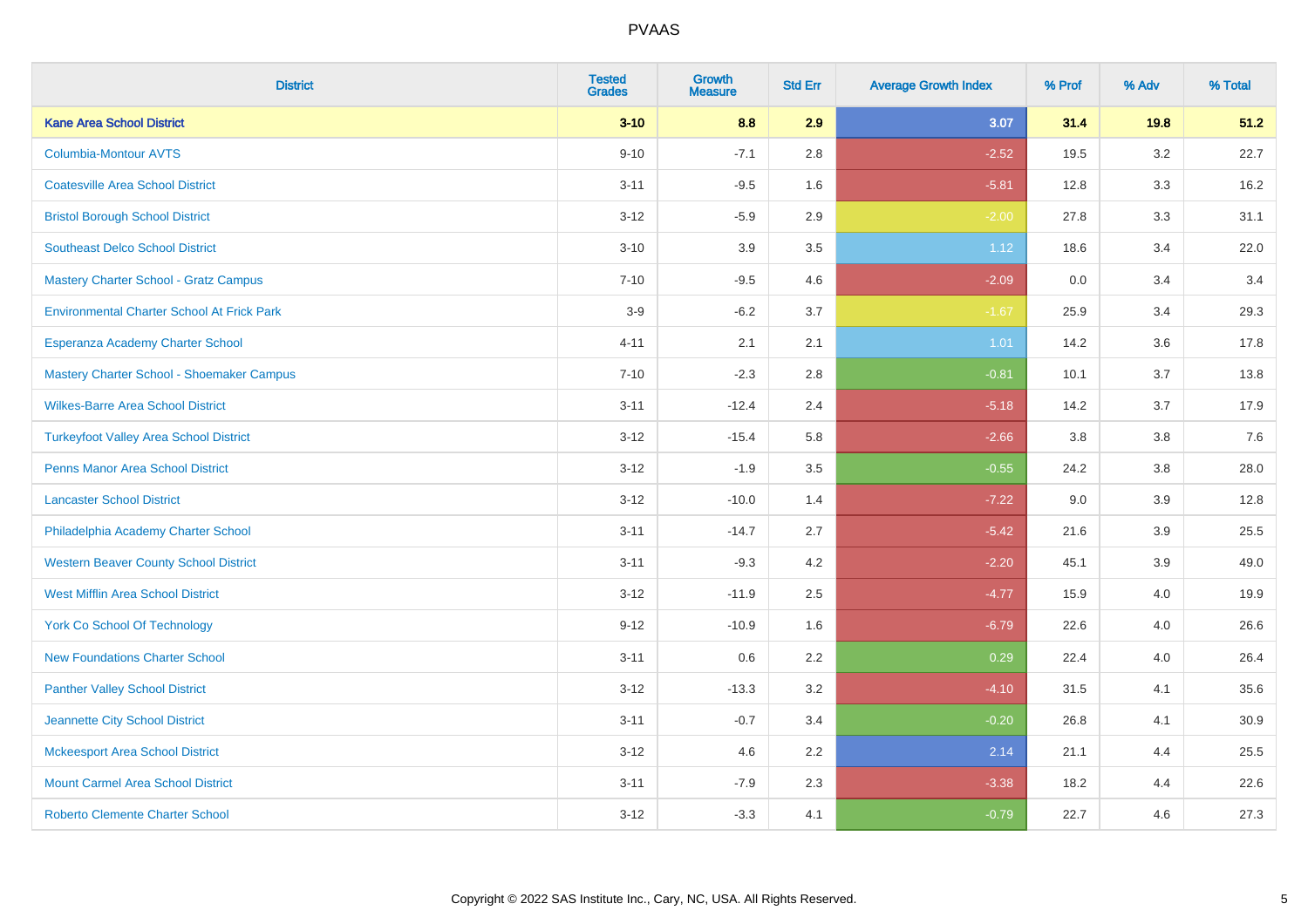| <b>District</b>                                   | <b>Tested</b><br><b>Grades</b> | <b>Growth</b><br><b>Measure</b> | <b>Std Err</b> | <b>Average Growth Index</b> | % Prof | % Adv   | % Total |
|---------------------------------------------------|--------------------------------|---------------------------------|----------------|-----------------------------|--------|---------|---------|
| <b>Kane Area School District</b>                  | $3 - 10$                       | 8.8                             | 2.9            | 3.07                        | 31.4   | 19.8    | 51.2    |
| <b>Columbia-Montour AVTS</b>                      | $9 - 10$                       | $-7.1$                          | 2.8            | $-2.52$                     | 19.5   | $3.2\,$ | 22.7    |
| <b>Coatesville Area School District</b>           | $3 - 11$                       | $-9.5$                          | 1.6            | $-5.81$                     | 12.8   | 3.3     | 16.2    |
| <b>Bristol Borough School District</b>            | $3-12$                         | $-5.9$                          | 2.9            | $-2.00$                     | 27.8   | 3.3     | 31.1    |
| <b>Southeast Delco School District</b>            | $3 - 10$                       | 3.9                             | 3.5            | 1.12                        | 18.6   | 3.4     | 22.0    |
| <b>Mastery Charter School - Gratz Campus</b>      | $7 - 10$                       | $-9.5$                          | 4.6            | $-2.09$                     | 0.0    | 3.4     | 3.4     |
| <b>Environmental Charter School At Frick Park</b> | $3-9$                          | $-6.2$                          | 3.7            | $-1.67$                     | 25.9   | 3.4     | 29.3    |
| Esperanza Academy Charter School                  | $4 - 11$                       | 2.1                             | 2.1            | 1.01                        | 14.2   | 3.6     | 17.8    |
| Mastery Charter School - Shoemaker Campus         | $7 - 10$                       | $-2.3$                          | 2.8            | $-0.81$                     | 10.1   | 3.7     | 13.8    |
| <b>Wilkes-Barre Area School District</b>          | $3 - 11$                       | $-12.4$                         | 2.4            | $-5.18$                     | 14.2   | 3.7     | 17.9    |
| <b>Turkeyfoot Valley Area School District</b>     | $3 - 12$                       | $-15.4$                         | 5.8            | $-2.66$                     | 3.8    | 3.8     | 7.6     |
| <b>Penns Manor Area School District</b>           | $3-12$                         | $-1.9$                          | 3.5            | $-0.55$                     | 24.2   | 3.8     | 28.0    |
| <b>Lancaster School District</b>                  | $3 - 12$                       | $-10.0$                         | 1.4            | $-7.22$                     | 9.0    | $3.9\,$ | 12.8    |
| Philadelphia Academy Charter School               | $3 - 11$                       | $-14.7$                         | 2.7            | $-5.42$                     | 21.6   | 3.9     | 25.5    |
| <b>Western Beaver County School District</b>      | $3 - 11$                       | $-9.3$                          | 4.2            | $-2.20$                     | 45.1   | 3.9     | 49.0    |
| <b>West Mifflin Area School District</b>          | $3-12$                         | $-11.9$                         | 2.5            | $-4.77$                     | 15.9   | 4.0     | 19.9    |
| <b>York Co School Of Technology</b>               | $9 - 12$                       | $-10.9$                         | 1.6            | $-6.79$                     | 22.6   | 4.0     | 26.6    |
| <b>New Foundations Charter School</b>             | $3 - 11$                       | 0.6                             | 2.2            | 0.29                        | 22.4   | 4.0     | 26.4    |
| <b>Panther Valley School District</b>             | $3-12$                         | $-13.3$                         | 3.2            | $-4.10$                     | 31.5   | 4.1     | 35.6    |
| Jeannette City School District                    | $3 - 11$                       | $-0.7$                          | 3.4            | $-0.20$                     | 26.8   | 4.1     | 30.9    |
| <b>Mckeesport Area School District</b>            | $3 - 12$                       | 4.6                             | 2.2            | 2.14                        | 21.1   | 4.4     | 25.5    |
| <b>Mount Carmel Area School District</b>          | $3 - 11$                       | $-7.9$                          | 2.3            | $-3.38$                     | 18.2   | 4.4     | 22.6    |
| <b>Roberto Clemente Charter School</b>            | $3 - 12$                       | $-3.3$                          | 4.1            | $-0.79$                     | 22.7   | 4.6     | 27.3    |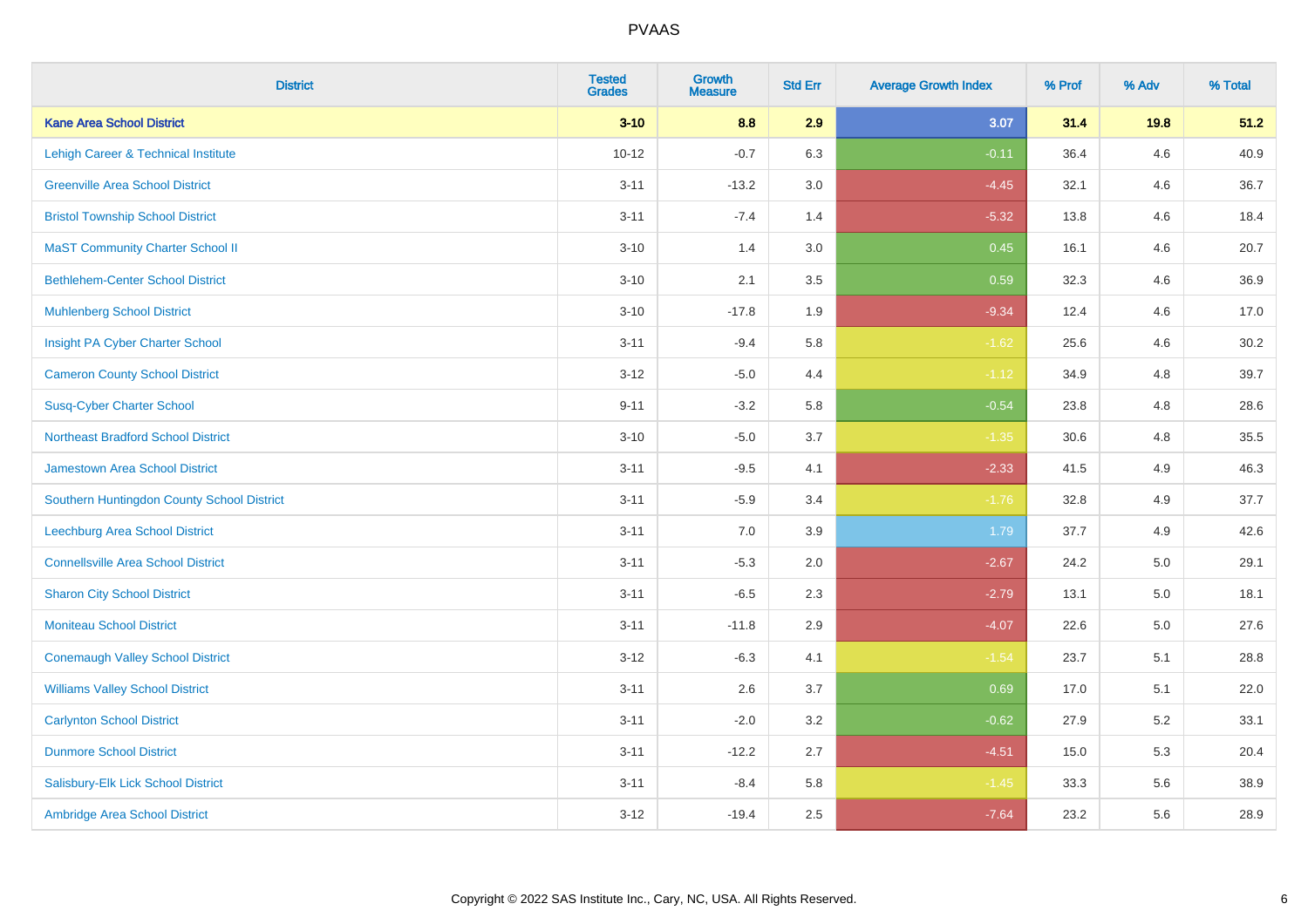| <b>District</b>                            | <b>Tested</b><br><b>Grades</b> | <b>Growth</b><br><b>Measure</b> | <b>Std Err</b> | <b>Average Growth Index</b> | % Prof | % Adv   | % Total |
|--------------------------------------------|--------------------------------|---------------------------------|----------------|-----------------------------|--------|---------|---------|
| <b>Kane Area School District</b>           | $3 - 10$                       | 8.8                             | 2.9            | 3.07                        | 31.4   | 19.8    | 51.2    |
| Lehigh Career & Technical Institute        | $10 - 12$                      | $-0.7$                          | 6.3            | $-0.11$                     | 36.4   | 4.6     | 40.9    |
| <b>Greenville Area School District</b>     | $3 - 11$                       | $-13.2$                         | 3.0            | $-4.45$                     | 32.1   | 4.6     | 36.7    |
| <b>Bristol Township School District</b>    | $3 - 11$                       | $-7.4$                          | 1.4            | $-5.32$                     | 13.8   | 4.6     | 18.4    |
| <b>MaST Community Charter School II</b>    | $3 - 10$                       | 1.4                             | 3.0            | 0.45                        | 16.1   | 4.6     | 20.7    |
| <b>Bethlehem-Center School District</b>    | $3 - 10$                       | 2.1                             | 3.5            | 0.59                        | 32.3   | 4.6     | 36.9    |
| <b>Muhlenberg School District</b>          | $3 - 10$                       | $-17.8$                         | 1.9            | $-9.34$                     | 12.4   | 4.6     | 17.0    |
| Insight PA Cyber Charter School            | $3 - 11$                       | $-9.4$                          | 5.8            | $-1.62$                     | 25.6   | 4.6     | 30.2    |
| <b>Cameron County School District</b>      | $3 - 12$                       | $-5.0$                          | 4.4            | $-1.12$                     | 34.9   | 4.8     | 39.7    |
| <b>Susq-Cyber Charter School</b>           | $9 - 11$                       | $-3.2$                          | 5.8            | $-0.54$                     | 23.8   | 4.8     | 28.6    |
| <b>Northeast Bradford School District</b>  | $3 - 10$                       | $-5.0$                          | 3.7            | $-1.35$                     | 30.6   | 4.8     | 35.5    |
| Jamestown Area School District             | $3 - 11$                       | $-9.5$                          | 4.1            | $-2.33$                     | 41.5   | 4.9     | 46.3    |
| Southern Huntingdon County School District | $3 - 11$                       | $-5.9$                          | 3.4            | $-1.76$                     | 32.8   | 4.9     | 37.7    |
| <b>Leechburg Area School District</b>      | $3 - 11$                       | 7.0                             | 3.9            | 1.79                        | 37.7   | 4.9     | 42.6    |
| <b>Connellsville Area School District</b>  | $3 - 11$                       | $-5.3$                          | 2.0            | $-2.67$                     | 24.2   | 5.0     | 29.1    |
| <b>Sharon City School District</b>         | $3 - 11$                       | $-6.5$                          | 2.3            | $-2.79$                     | 13.1   | $5.0\,$ | 18.1    |
| <b>Moniteau School District</b>            | $3 - 11$                       | $-11.8$                         | 2.9            | $-4.07$                     | 22.6   | 5.0     | 27.6    |
| <b>Conemaugh Valley School District</b>    | $3 - 12$                       | $-6.3$                          | 4.1            | $-1.54$                     | 23.7   | 5.1     | 28.8    |
| <b>Williams Valley School District</b>     | $3 - 11$                       | 2.6                             | 3.7            | 0.69                        | 17.0   | 5.1     | 22.0    |
| <b>Carlynton School District</b>           | $3 - 11$                       | $-2.0$                          | 3.2            | $-0.62$                     | 27.9   | 5.2     | 33.1    |
| <b>Dunmore School District</b>             | $3 - 11$                       | $-12.2$                         | 2.7            | $-4.51$                     | 15.0   | 5.3     | 20.4    |
| Salisbury-Elk Lick School District         | $3 - 11$                       | $-8.4$                          | 5.8            | $-1.45$                     | 33.3   | 5.6     | 38.9    |
| Ambridge Area School District              | $3 - 12$                       | $-19.4$                         | 2.5            | $-7.64$                     | 23.2   | 5.6     | 28.9    |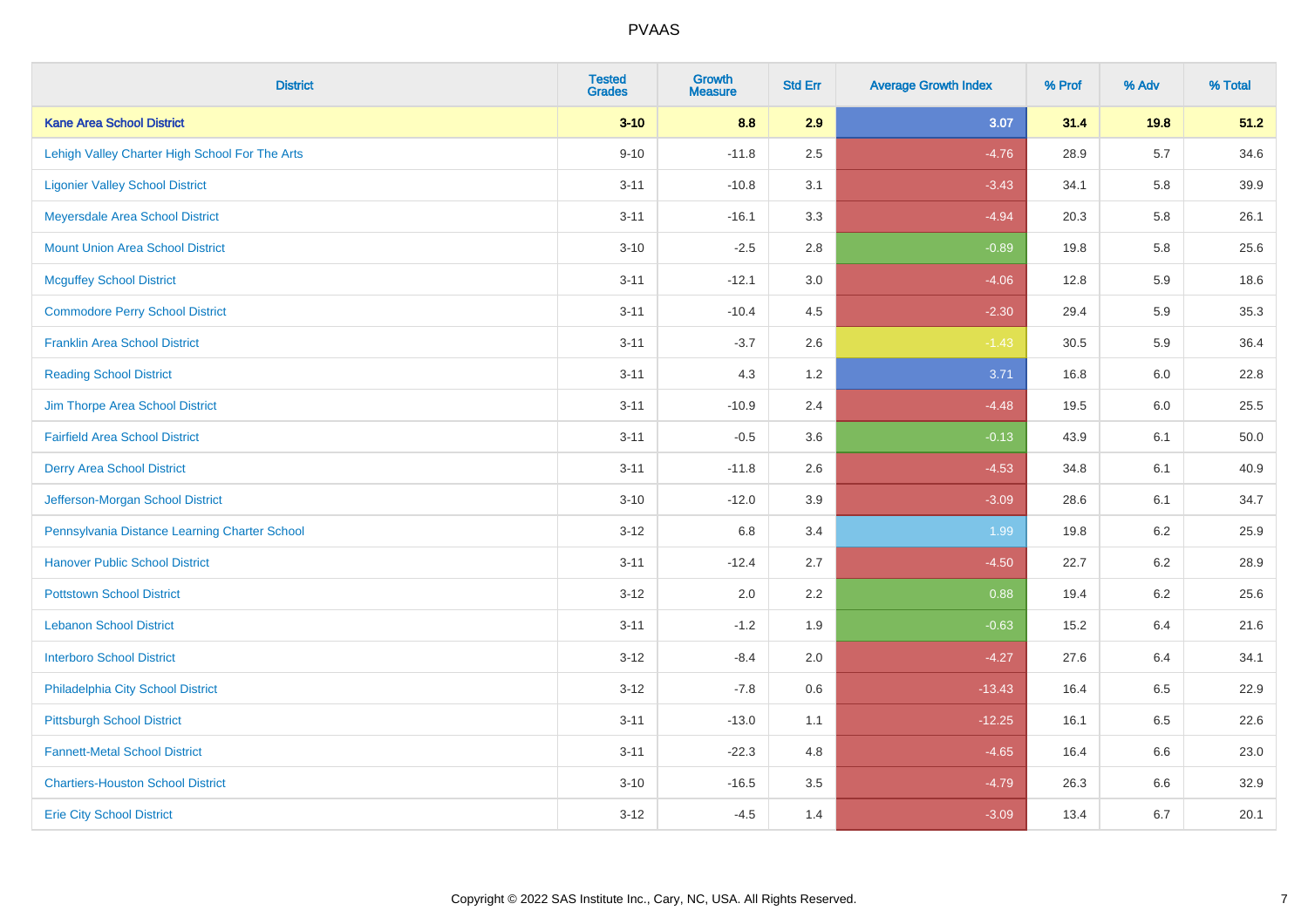| <b>District</b>                                | <b>Tested</b><br><b>Grades</b> | Growth<br><b>Measure</b> | <b>Std Err</b> | <b>Average Growth Index</b> | % Prof | % Adv   | % Total  |
|------------------------------------------------|--------------------------------|--------------------------|----------------|-----------------------------|--------|---------|----------|
| <b>Kane Area School District</b>               | $3 - 10$                       | 8.8                      | 2.9            | 3.07                        | 31.4   | 19.8    | 51.2     |
| Lehigh Valley Charter High School For The Arts | $9 - 10$                       | $-11.8$                  | 2.5            | $-4.76$                     | 28.9   | 5.7     | 34.6     |
| <b>Ligonier Valley School District</b>         | $3 - 11$                       | $-10.8$                  | 3.1            | $-3.43$                     | 34.1   | 5.8     | 39.9     |
| Meyersdale Area School District                | $3 - 11$                       | $-16.1$                  | 3.3            | $-4.94$                     | 20.3   | 5.8     | 26.1     |
| <b>Mount Union Area School District</b>        | $3 - 10$                       | $-2.5$                   | 2.8            | $-0.89$                     | 19.8   | 5.8     | 25.6     |
| <b>Mcguffey School District</b>                | $3 - 11$                       | $-12.1$                  | 3.0            | $-4.06$                     | 12.8   | 5.9     | 18.6     |
| <b>Commodore Perry School District</b>         | $3 - 11$                       | $-10.4$                  | 4.5            | $-2.30$                     | 29.4   | 5.9     | 35.3     |
| <b>Franklin Area School District</b>           | $3 - 11$                       | $-3.7$                   | 2.6            | $-1.43$                     | 30.5   | 5.9     | 36.4     |
| <b>Reading School District</b>                 | $3 - 11$                       | 4.3                      | 1.2            | 3.71                        | 16.8   | 6.0     | 22.8     |
| Jim Thorpe Area School District                | $3 - 11$                       | $-10.9$                  | 2.4            | $-4.48$                     | 19.5   | 6.0     | 25.5     |
| <b>Fairfield Area School District</b>          | $3 - 11$                       | $-0.5$                   | 3.6            | $-0.13$                     | 43.9   | 6.1     | $50.0\,$ |
| <b>Derry Area School District</b>              | $3 - 11$                       | $-11.8$                  | 2.6            | $-4.53$                     | 34.8   | 6.1     | 40.9     |
| Jefferson-Morgan School District               | $3 - 10$                       | $-12.0$                  | 3.9            | $-3.09$                     | 28.6   | 6.1     | 34.7     |
| Pennsylvania Distance Learning Charter School  | $3 - 12$                       | 6.8                      | 3.4            | 1.99                        | 19.8   | 6.2     | 25.9     |
| <b>Hanover Public School District</b>          | $3 - 11$                       | $-12.4$                  | 2.7            | $-4.50$                     | 22.7   | 6.2     | 28.9     |
| <b>Pottstown School District</b>               | $3-12$                         | 2.0                      | 2.2            | 0.88                        | 19.4   | $6.2\,$ | 25.6     |
| <b>Lebanon School District</b>                 | $3 - 11$                       | $-1.2$                   | 1.9            | $-0.63$                     | 15.2   | 6.4     | 21.6     |
| <b>Interboro School District</b>               | $3 - 12$                       | $-8.4$                   | 2.0            | $-4.27$                     | 27.6   | 6.4     | 34.1     |
| Philadelphia City School District              | $3-12$                         | $-7.8$                   | 0.6            | $-13.43$                    | 16.4   | 6.5     | 22.9     |
| <b>Pittsburgh School District</b>              | $3 - 11$                       | $-13.0$                  | 1.1            | $-12.25$                    | 16.1   | 6.5     | 22.6     |
| <b>Fannett-Metal School District</b>           | $3 - 11$                       | $-22.3$                  | 4.8            | $-4.65$                     | 16.4   | 6.6     | 23.0     |
| <b>Chartiers-Houston School District</b>       | $3 - 10$                       | $-16.5$                  | 3.5            | $-4.79$                     | 26.3   | 6.6     | 32.9     |
| <b>Erie City School District</b>               | $3 - 12$                       | $-4.5$                   | 1.4            | $-3.09$                     | 13.4   | 6.7     | 20.1     |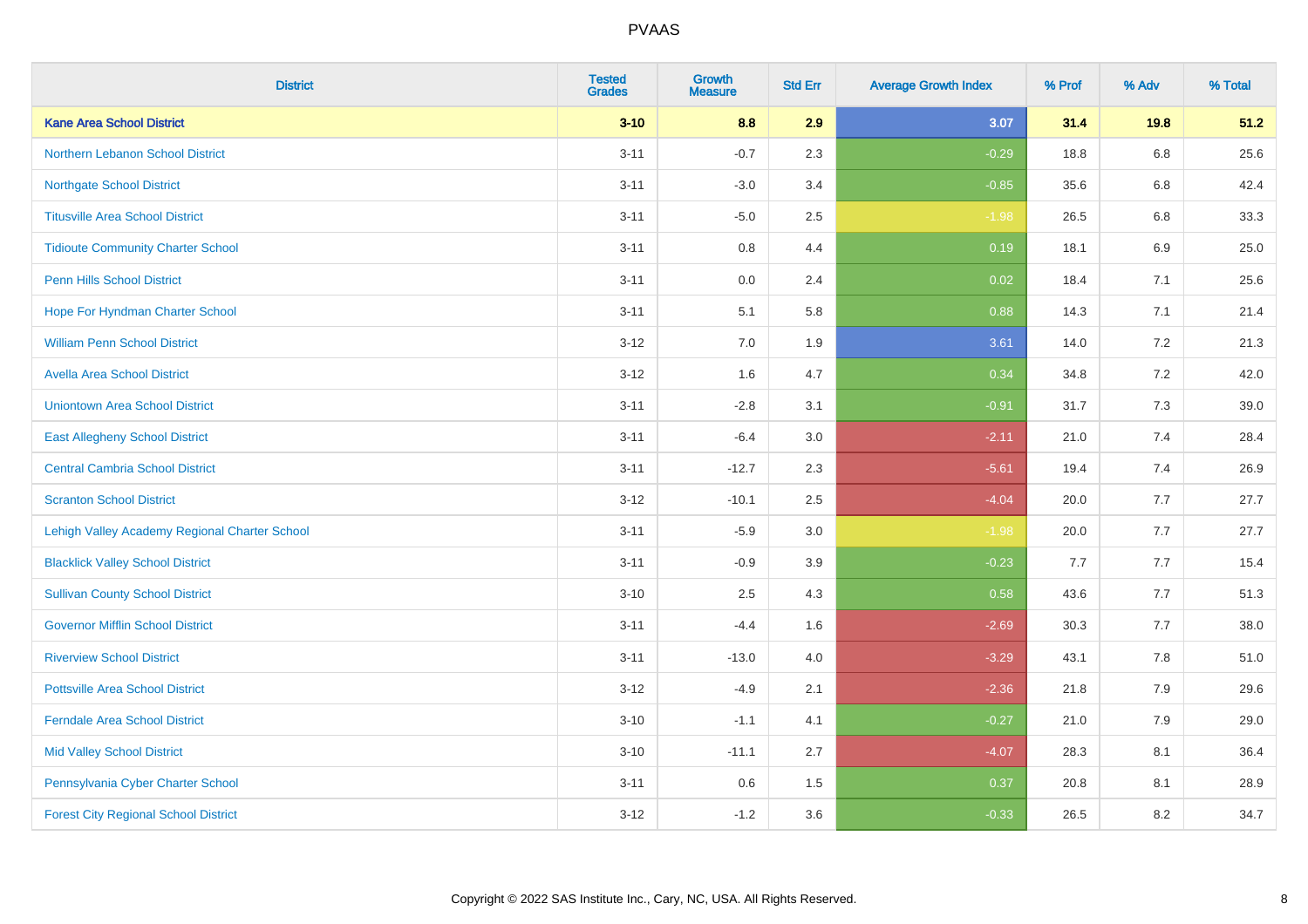| <b>District</b>                               | <b>Tested</b><br><b>Grades</b> | <b>Growth</b><br><b>Measure</b> | <b>Std Err</b> | <b>Average Growth Index</b> | % Prof | % Adv | % Total |
|-----------------------------------------------|--------------------------------|---------------------------------|----------------|-----------------------------|--------|-------|---------|
| <b>Kane Area School District</b>              | $3 - 10$                       | 8.8                             | 2.9            | 3.07                        | 31.4   | 19.8  | 51.2    |
| <b>Northern Lebanon School District</b>       | $3 - 11$                       | $-0.7$                          | 2.3            | $-0.29$                     | 18.8   | 6.8   | 25.6    |
| <b>Northgate School District</b>              | $3 - 11$                       | $-3.0$                          | 3.4            | $-0.85$                     | 35.6   | 6.8   | 42.4    |
| <b>Titusville Area School District</b>        | $3 - 11$                       | $-5.0$                          | 2.5            | $-1.98$                     | 26.5   | 6.8   | 33.3    |
| <b>Tidioute Community Charter School</b>      | $3 - 11$                       | 0.8                             | 4.4            | 0.19                        | 18.1   | 6.9   | 25.0    |
| <b>Penn Hills School District</b>             | $3 - 11$                       | 0.0                             | 2.4            | 0.02                        | 18.4   | 7.1   | 25.6    |
| Hope For Hyndman Charter School               | $3 - 11$                       | 5.1                             | 5.8            | 0.88                        | 14.3   | 7.1   | 21.4    |
| <b>William Penn School District</b>           | $3 - 12$                       | 7.0                             | 1.9            | 3.61                        | 14.0   | 7.2   | 21.3    |
| <b>Avella Area School District</b>            | $3-12$                         | 1.6                             | 4.7            | 0.34                        | 34.8   | 7.2   | 42.0    |
| <b>Uniontown Area School District</b>         | $3 - 11$                       | $-2.8$                          | 3.1            | $-0.91$                     | 31.7   | 7.3   | 39.0    |
| <b>East Allegheny School District</b>         | $3 - 11$                       | $-6.4$                          | 3.0            | $-2.11$                     | 21.0   | 7.4   | 28.4    |
| <b>Central Cambria School District</b>        | $3 - 11$                       | $-12.7$                         | 2.3            | $-5.61$                     | 19.4   | 7.4   | 26.9    |
| <b>Scranton School District</b>               | $3 - 12$                       | $-10.1$                         | 2.5            | $-4.04$                     | 20.0   | 7.7   | 27.7    |
| Lehigh Valley Academy Regional Charter School | $3 - 11$                       | $-5.9$                          | 3.0            | $-1.98$                     | 20.0   | 7.7   | 27.7    |
| <b>Blacklick Valley School District</b>       | $3 - 11$                       | $-0.9$                          | 3.9            | $-0.23$                     | 7.7    | 7.7   | 15.4    |
| <b>Sullivan County School District</b>        | $3 - 10$                       | 2.5                             | 4.3            | 0.58                        | 43.6   | 7.7   | 51.3    |
| <b>Governor Mifflin School District</b>       | $3 - 11$                       | $-4.4$                          | 1.6            | $-2.69$                     | 30.3   | 7.7   | 38.0    |
| <b>Riverview School District</b>              | $3 - 11$                       | $-13.0$                         | 4.0            | $-3.29$                     | 43.1   | 7.8   | 51.0    |
| <b>Pottsville Area School District</b>        | $3-12$                         | $-4.9$                          | 2.1            | $-2.36$                     | 21.8   | 7.9   | 29.6    |
| <b>Ferndale Area School District</b>          | $3 - 10$                       | $-1.1$                          | 4.1            | $-0.27$                     | 21.0   | 7.9   | 29.0    |
| <b>Mid Valley School District</b>             | $3 - 10$                       | $-11.1$                         | 2.7            | $-4.07$                     | 28.3   | 8.1   | 36.4    |
| Pennsylvania Cyber Charter School             | $3 - 11$                       | 0.6                             | 1.5            | 0.37                        | 20.8   | 8.1   | 28.9    |
| <b>Forest City Regional School District</b>   | $3 - 12$                       | $-1.2$                          | 3.6            | $-0.33$                     | 26.5   | 8.2   | 34.7    |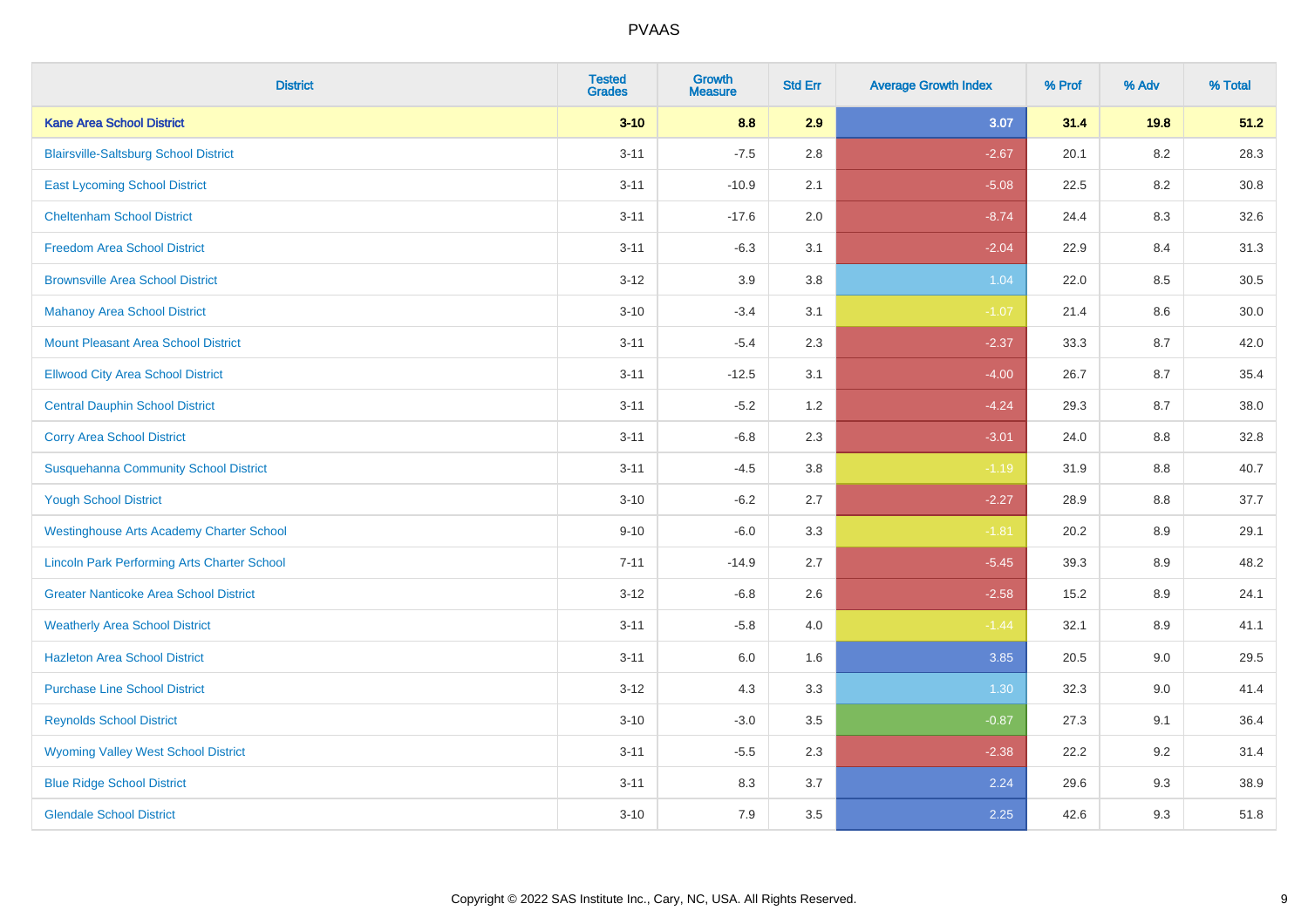| <b>District</b>                                    | <b>Tested</b><br><b>Grades</b> | <b>Growth</b><br><b>Measure</b> | <b>Std Err</b> | <b>Average Growth Index</b> | % Prof | % Adv   | % Total |
|----------------------------------------------------|--------------------------------|---------------------------------|----------------|-----------------------------|--------|---------|---------|
| <b>Kane Area School District</b>                   | $3 - 10$                       | 8.8                             | 2.9            | 3.07                        | 31.4   | $19.8$  | 51.2    |
| <b>Blairsville-Saltsburg School District</b>       | $3 - 11$                       | $-7.5$                          | 2.8            | $-2.67$                     | 20.1   | 8.2     | 28.3    |
| <b>East Lycoming School District</b>               | $3 - 11$                       | $-10.9$                         | 2.1            | $-5.08$                     | 22.5   | 8.2     | 30.8    |
| <b>Cheltenham School District</b>                  | $3 - 11$                       | $-17.6$                         | 2.0            | $-8.74$                     | 24.4   | 8.3     | 32.6    |
| <b>Freedom Area School District</b>                | $3 - 11$                       | $-6.3$                          | 3.1            | $-2.04$                     | 22.9   | 8.4     | 31.3    |
| <b>Brownsville Area School District</b>            | $3 - 12$                       | 3.9                             | 3.8            | 1.04                        | 22.0   | 8.5     | 30.5    |
| <b>Mahanoy Area School District</b>                | $3 - 10$                       | $-3.4$                          | 3.1            | $-1.07$                     | 21.4   | $8.6\,$ | 30.0    |
| <b>Mount Pleasant Area School District</b>         | $3 - 11$                       | $-5.4$                          | 2.3            | $-2.37$                     | 33.3   | 8.7     | 42.0    |
| <b>Ellwood City Area School District</b>           | $3 - 11$                       | $-12.5$                         | 3.1            | $-4.00$                     | 26.7   | 8.7     | 35.4    |
| <b>Central Dauphin School District</b>             | $3 - 11$                       | $-5.2$                          | 1.2            | $-4.24$                     | 29.3   | 8.7     | 38.0    |
| <b>Corry Area School District</b>                  | $3 - 11$                       | $-6.8$                          | 2.3            | $-3.01$                     | 24.0   | 8.8     | 32.8    |
| <b>Susquehanna Community School District</b>       | $3 - 11$                       | $-4.5$                          | 3.8            | $-1.19$                     | 31.9   | 8.8     | 40.7    |
| <b>Yough School District</b>                       | $3 - 10$                       | $-6.2$                          | 2.7            | $-2.27$                     | 28.9   | $8.8\,$ | 37.7    |
| <b>Westinghouse Arts Academy Charter School</b>    | $9 - 10$                       | $-6.0$                          | 3.3            | $-1.81$                     | 20.2   | 8.9     | 29.1    |
| <b>Lincoln Park Performing Arts Charter School</b> | $7 - 11$                       | $-14.9$                         | 2.7            | $-5.45$                     | 39.3   | 8.9     | 48.2    |
| <b>Greater Nanticoke Area School District</b>      | $3 - 12$                       | $-6.8$                          | 2.6            | $-2.58$                     | 15.2   | 8.9     | 24.1    |
| <b>Weatherly Area School District</b>              | $3 - 11$                       | $-5.8$                          | 4.0            | $-1.44$                     | 32.1   | 8.9     | 41.1    |
| <b>Hazleton Area School District</b>               | $3 - 11$                       | $6.0\,$                         | 1.6            | 3.85                        | 20.5   | 9.0     | 29.5    |
| <b>Purchase Line School District</b>               | $3 - 12$                       | 4.3                             | 3.3            | 1.30                        | 32.3   | 9.0     | 41.4    |
| <b>Reynolds School District</b>                    | $3 - 10$                       | $-3.0$                          | 3.5            | $-0.87$                     | 27.3   | 9.1     | 36.4    |
| <b>Wyoming Valley West School District</b>         | $3 - 11$                       | $-5.5$                          | 2.3            | $-2.38$                     | 22.2   | 9.2     | 31.4    |
| <b>Blue Ridge School District</b>                  | $3 - 11$                       | 8.3                             | 3.7            | 2.24                        | 29.6   | 9.3     | 38.9    |
| <b>Glendale School District</b>                    | $3 - 10$                       | 7.9                             | 3.5            | 2.25                        | 42.6   | 9.3     | 51.8    |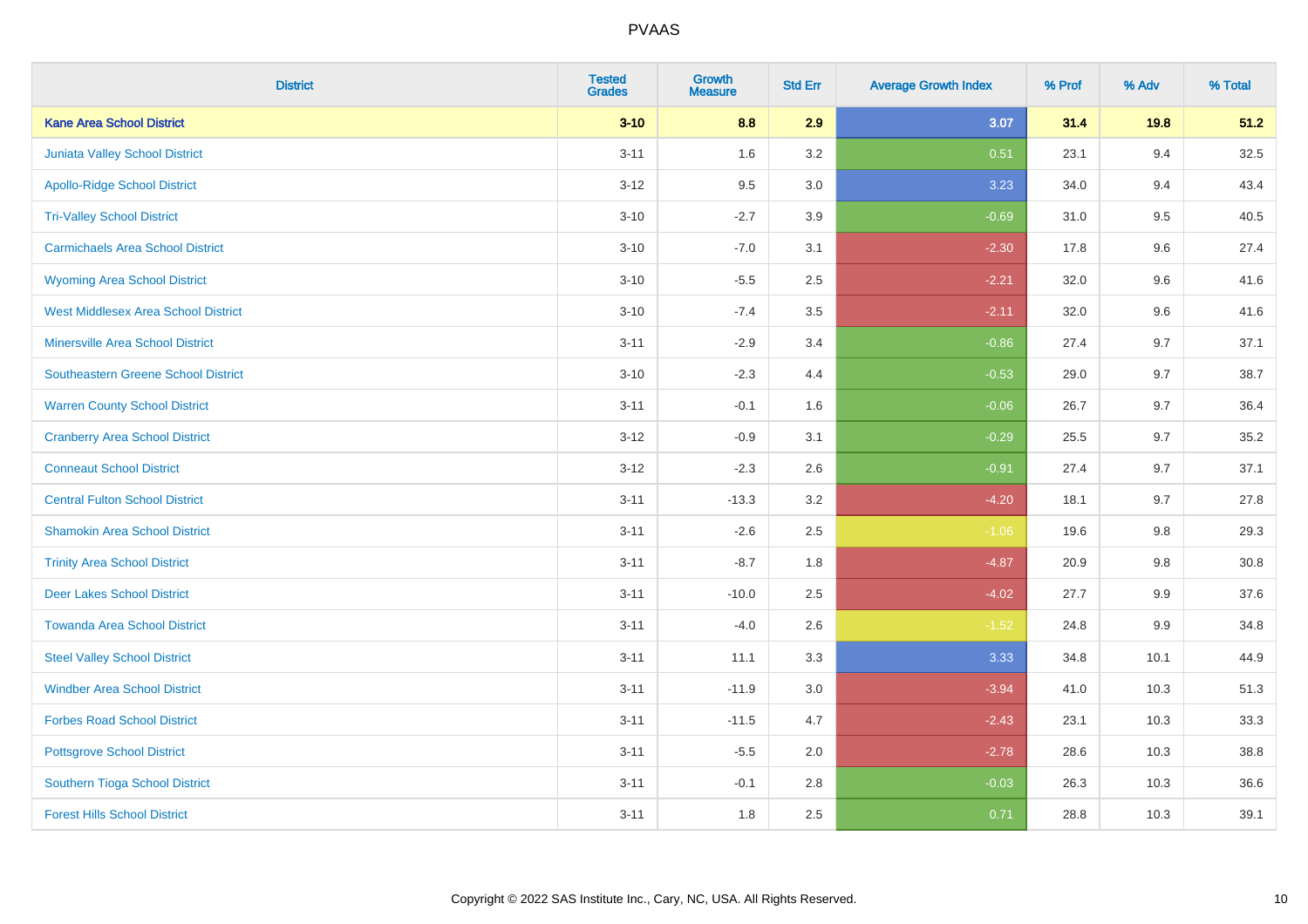| <b>District</b>                            | <b>Tested</b><br><b>Grades</b> | <b>Growth</b><br><b>Measure</b> | <b>Std Err</b> | <b>Average Growth Index</b> | % Prof | % Adv  | % Total  |
|--------------------------------------------|--------------------------------|---------------------------------|----------------|-----------------------------|--------|--------|----------|
| <b>Kane Area School District</b>           | $3 - 10$                       | 8.8                             | 2.9            | 3.07                        | 31.4   | $19.8$ | 51.2     |
| Juniata Valley School District             | $3 - 11$                       | 1.6                             | 3.2            | 0.51                        | 23.1   | 9.4    | 32.5     |
| <b>Apollo-Ridge School District</b>        | $3 - 12$                       | 9.5                             | 3.0            | 3.23                        | 34.0   | 9.4    | 43.4     |
| <b>Tri-Valley School District</b>          | $3 - 10$                       | $-2.7$                          | 3.9            | $-0.69$                     | 31.0   | 9.5    | 40.5     |
| <b>Carmichaels Area School District</b>    | $3 - 10$                       | $-7.0$                          | 3.1            | $-2.30$                     | 17.8   | 9.6    | 27.4     |
| <b>Wyoming Area School District</b>        | $3 - 10$                       | $-5.5$                          | 2.5            | $-2.21$                     | 32.0   | 9.6    | 41.6     |
| <b>West Middlesex Area School District</b> | $3 - 10$                       | $-7.4$                          | 3.5            | $-2.11$                     | 32.0   | 9.6    | 41.6     |
| <b>Minersville Area School District</b>    | $3 - 11$                       | $-2.9$                          | 3.4            | $-0.86$                     | 27.4   | 9.7    | 37.1     |
| <b>Southeastern Greene School District</b> | $3 - 10$                       | $-2.3$                          | 4.4            | $-0.53$                     | 29.0   | 9.7    | 38.7     |
| <b>Warren County School District</b>       | $3 - 11$                       | $-0.1$                          | 1.6            | $-0.06$                     | 26.7   | 9.7    | 36.4     |
| <b>Cranberry Area School District</b>      | $3 - 12$                       | $-0.9$                          | 3.1            | $-0.29$                     | 25.5   | 9.7    | 35.2     |
| <b>Conneaut School District</b>            | $3 - 12$                       | $-2.3$                          | 2.6            | $-0.91$                     | 27.4   | 9.7    | 37.1     |
| <b>Central Fulton School District</b>      | $3 - 11$                       | $-13.3$                         | $3.2\,$        | $-4.20$                     | 18.1   | 9.7    | 27.8     |
| <b>Shamokin Area School District</b>       | $3 - 11$                       | $-2.6$                          | 2.5            | $-1.06$                     | 19.6   | 9.8    | 29.3     |
| <b>Trinity Area School District</b>        | $3 - 11$                       | $-8.7$                          | 1.8            | $-4.87$                     | 20.9   | 9.8    | $30.8\,$ |
| <b>Deer Lakes School District</b>          | $3 - 11$                       | $-10.0$                         | 2.5            | $-4.02$                     | 27.7   | 9.9    | 37.6     |
| <b>Towanda Area School District</b>        | $3 - 11$                       | $-4.0$                          | 2.6            | $-1.52$                     | 24.8   | 9.9    | 34.8     |
| <b>Steel Valley School District</b>        | $3 - 11$                       | 11.1                            | 3.3            | 3.33                        | 34.8   | 10.1   | 44.9     |
| <b>Windber Area School District</b>        | $3 - 11$                       | $-11.9$                         | 3.0            | $-3.94$                     | 41.0   | 10.3   | 51.3     |
| <b>Forbes Road School District</b>         | $3 - 11$                       | $-11.5$                         | 4.7            | $-2.43$                     | 23.1   | 10.3   | 33.3     |
| <b>Pottsgrove School District</b>          | $3 - 11$                       | $-5.5$                          | 2.0            | $-2.78$                     | 28.6   | 10.3   | 38.8     |
| Southern Tioga School District             | $3 - 11$                       | $-0.1$                          | 2.8            | $-0.03$                     | 26.3   | 10.3   | 36.6     |
| <b>Forest Hills School District</b>        | $3 - 11$                       | 1.8                             | 2.5            | 0.71                        | 28.8   | 10.3   | 39.1     |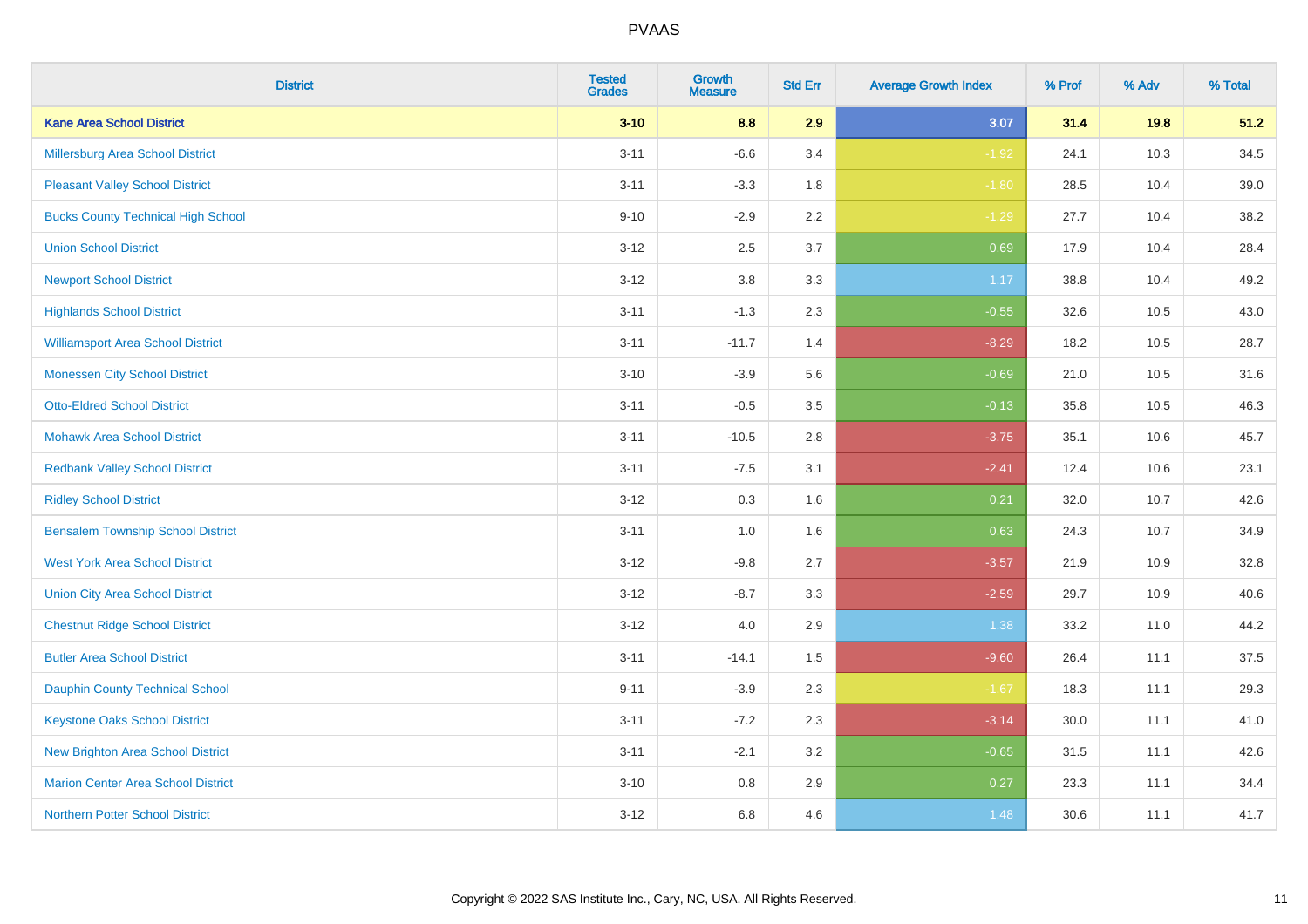| <b>District</b>                           | <b>Tested</b><br><b>Grades</b> | <b>Growth</b><br><b>Measure</b> | <b>Std Err</b> | <b>Average Growth Index</b> | % Prof | % Adv | % Total |
|-------------------------------------------|--------------------------------|---------------------------------|----------------|-----------------------------|--------|-------|---------|
| <b>Kane Area School District</b>          | $3 - 10$                       | 8.8                             | 2.9            | 3.07                        | 31.4   | 19.8  | 51.2    |
| <b>Millersburg Area School District</b>   | $3 - 11$                       | $-6.6$                          | 3.4            | $-1.92$                     | 24.1   | 10.3  | 34.5    |
| <b>Pleasant Valley School District</b>    | $3 - 11$                       | $-3.3$                          | 1.8            | $-1.80$                     | 28.5   | 10.4  | 39.0    |
| <b>Bucks County Technical High School</b> | $9 - 10$                       | $-2.9$                          | 2.2            | $-1.29$                     | 27.7   | 10.4  | 38.2    |
| <b>Union School District</b>              | $3-12$                         | 2.5                             | 3.7            | 0.69                        | 17.9   | 10.4  | 28.4    |
| <b>Newport School District</b>            | $3 - 12$                       | 3.8                             | 3.3            | 1.17                        | 38.8   | 10.4  | 49.2    |
| <b>Highlands School District</b>          | $3 - 11$                       | $-1.3$                          | 2.3            | $-0.55$                     | 32.6   | 10.5  | 43.0    |
| <b>Williamsport Area School District</b>  | $3 - 11$                       | $-11.7$                         | 1.4            | $-8.29$                     | 18.2   | 10.5  | 28.7    |
| <b>Monessen City School District</b>      | $3 - 10$                       | $-3.9$                          | 5.6            | $-0.69$                     | 21.0   | 10.5  | 31.6    |
| <b>Otto-Eldred School District</b>        | $3 - 11$                       | $-0.5$                          | 3.5            | $-0.13$                     | 35.8   | 10.5  | 46.3    |
| <b>Mohawk Area School District</b>        | $3 - 11$                       | $-10.5$                         | 2.8            | $-3.75$                     | 35.1   | 10.6  | 45.7    |
| <b>Redbank Valley School District</b>     | $3 - 11$                       | $-7.5$                          | 3.1            | $-2.41$                     | 12.4   | 10.6  | 23.1    |
| <b>Ridley School District</b>             | $3 - 12$                       | 0.3                             | 1.6            | 0.21                        | 32.0   | 10.7  | 42.6    |
| <b>Bensalem Township School District</b>  | $3 - 11$                       | $1.0\,$                         | 1.6            | 0.63                        | 24.3   | 10.7  | 34.9    |
| <b>West York Area School District</b>     | $3 - 12$                       | $-9.8$                          | 2.7            | $-3.57$                     | 21.9   | 10.9  | 32.8    |
| <b>Union City Area School District</b>    | $3 - 12$                       | $-8.7$                          | 3.3            | $-2.59$                     | 29.7   | 10.9  | 40.6    |
| <b>Chestnut Ridge School District</b>     | $3 - 12$                       | 4.0                             | 2.9            | 1.38                        | 33.2   | 11.0  | 44.2    |
| <b>Butler Area School District</b>        | $3 - 11$                       | $-14.1$                         | 1.5            | $-9.60$                     | 26.4   | 11.1  | 37.5    |
| <b>Dauphin County Technical School</b>    | $9 - 11$                       | $-3.9$                          | 2.3            | $-1.67$                     | 18.3   | 11.1  | 29.3    |
| <b>Keystone Oaks School District</b>      | $3 - 11$                       | $-7.2$                          | 2.3            | $-3.14$                     | 30.0   | 11.1  | 41.0    |
| <b>New Brighton Area School District</b>  | $3 - 11$                       | $-2.1$                          | 3.2            | $-0.65$                     | 31.5   | 11.1  | 42.6    |
| <b>Marion Center Area School District</b> | $3 - 10$                       | $0.8\,$                         | 2.9            | 0.27                        | 23.3   | 11.1  | 34.4    |
| <b>Northern Potter School District</b>    | $3-12$                         | 6.8                             | 4.6            | 1.48                        | 30.6   | 11.1  | 41.7    |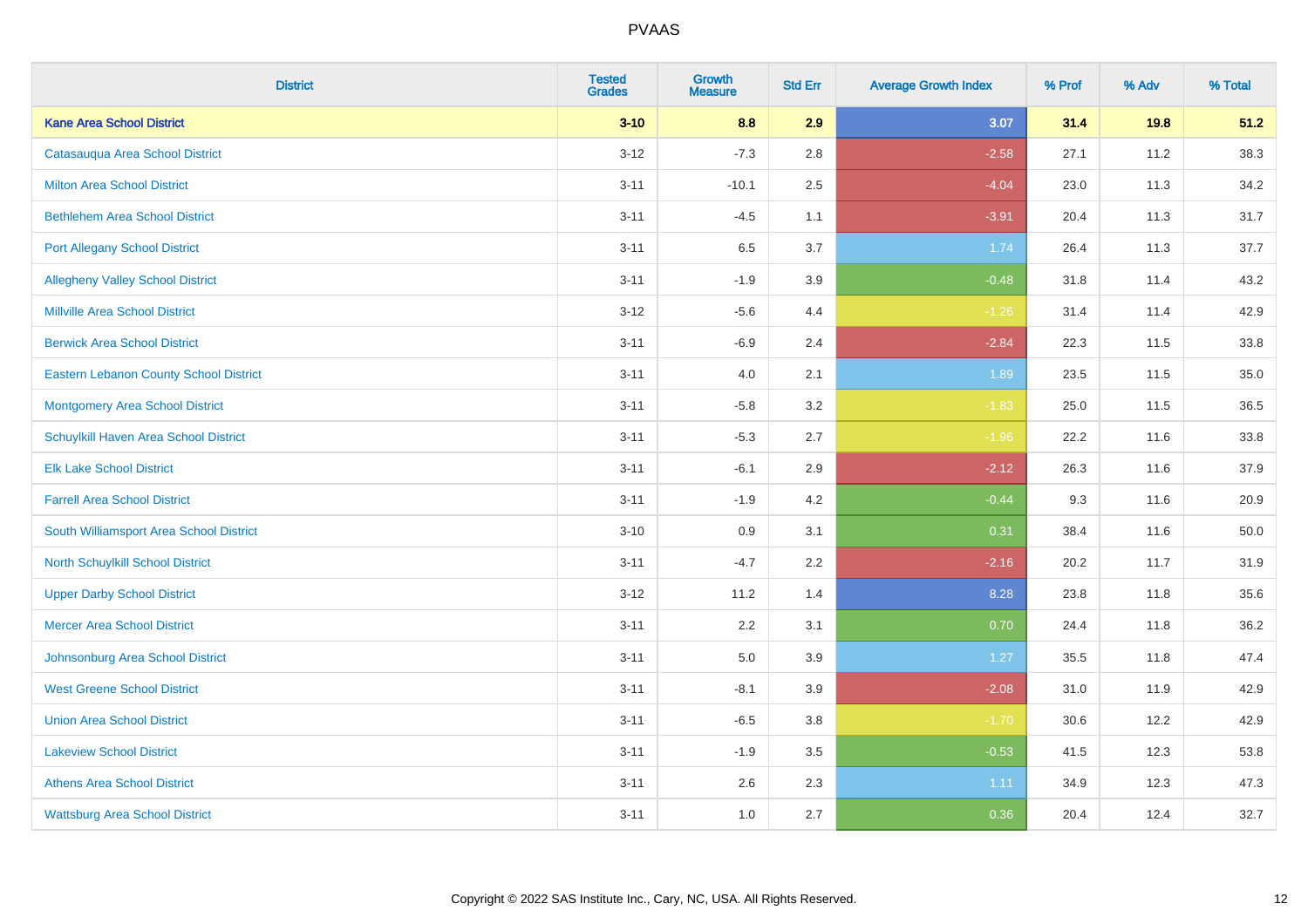| <b>District</b>                               | <b>Tested</b><br><b>Grades</b> | <b>Growth</b><br><b>Measure</b> | <b>Std Err</b> | <b>Average Growth Index</b> | % Prof | % Adv | % Total |
|-----------------------------------------------|--------------------------------|---------------------------------|----------------|-----------------------------|--------|-------|---------|
| <b>Kane Area School District</b>              | $3 - 10$                       | 8.8                             | 2.9            | 3.07                        | 31.4   | 19.8  | 51.2    |
| Catasauqua Area School District               | $3 - 12$                       | $-7.3$                          | 2.8            | $-2.58$                     | 27.1   | 11.2  | 38.3    |
| <b>Milton Area School District</b>            | $3 - 11$                       | $-10.1$                         | 2.5            | $-4.04$                     | 23.0   | 11.3  | 34.2    |
| <b>Bethlehem Area School District</b>         | $3 - 11$                       | $-4.5$                          | 1.1            | $-3.91$                     | 20.4   | 11.3  | 31.7    |
| <b>Port Allegany School District</b>          | $3 - 11$                       | 6.5                             | 3.7            | 1.74                        | 26.4   | 11.3  | 37.7    |
| <b>Allegheny Valley School District</b>       | $3 - 11$                       | $-1.9$                          | 3.9            | $-0.48$                     | 31.8   | 11.4  | 43.2    |
| <b>Millville Area School District</b>         | $3 - 12$                       | $-5.6$                          | 4.4            | $-1.26$                     | 31.4   | 11.4  | 42.9    |
| <b>Berwick Area School District</b>           | $3 - 11$                       | $-6.9$                          | 2.4            | $-2.84$                     | 22.3   | 11.5  | 33.8    |
| <b>Eastern Lebanon County School District</b> | $3 - 11$                       | 4.0                             | 2.1            | 1.89                        | 23.5   | 11.5  | 35.0    |
| <b>Montgomery Area School District</b>        | $3 - 11$                       | $-5.8$                          | 3.2            | $-1.83$                     | 25.0   | 11.5  | 36.5    |
| Schuylkill Haven Area School District         | $3 - 11$                       | $-5.3$                          | 2.7            | $-1.96$                     | 22.2   | 11.6  | 33.8    |
| <b>Elk Lake School District</b>               | $3 - 11$                       | $-6.1$                          | 2.9            | $-2.12$                     | 26.3   | 11.6  | 37.9    |
| <b>Farrell Area School District</b>           | $3 - 11$                       | $-1.9$                          | 4.2            | $-0.44$                     | 9.3    | 11.6  | 20.9    |
| South Williamsport Area School District       | $3 - 10$                       | 0.9                             | 3.1            | 0.31                        | 38.4   | 11.6  | 50.0    |
| <b>North Schuylkill School District</b>       | $3 - 11$                       | $-4.7$                          | 2.2            | $-2.16$                     | 20.2   | 11.7  | 31.9    |
| <b>Upper Darby School District</b>            | $3 - 12$                       | 11.2                            | 1.4            | 8.28                        | 23.8   | 11.8  | 35.6    |
| <b>Mercer Area School District</b>            | $3 - 11$                       | $2.2\,$                         | 3.1            | 0.70                        | 24.4   | 11.8  | 36.2    |
| Johnsonburg Area School District              | $3 - 11$                       | 5.0                             | 3.9            | 1.27                        | 35.5   | 11.8  | 47.4    |
| <b>West Greene School District</b>            | $3 - 11$                       | $-8.1$                          | 3.9            | $-2.08$                     | 31.0   | 11.9  | 42.9    |
| <b>Union Area School District</b>             | $3 - 11$                       | $-6.5$                          | 3.8            | $-1.70$                     | 30.6   | 12.2  | 42.9    |
| <b>Lakeview School District</b>               | $3 - 11$                       | $-1.9$                          | 3.5            | $-0.53$                     | 41.5   | 12.3  | 53.8    |
| <b>Athens Area School District</b>            | $3 - 11$                       | 2.6                             | 2.3            | 1.11                        | 34.9   | 12.3  | 47.3    |
| <b>Wattsburg Area School District</b>         | $3 - 11$                       | 1.0                             | 2.7            | 0.36                        | 20.4   | 12.4  | 32.7    |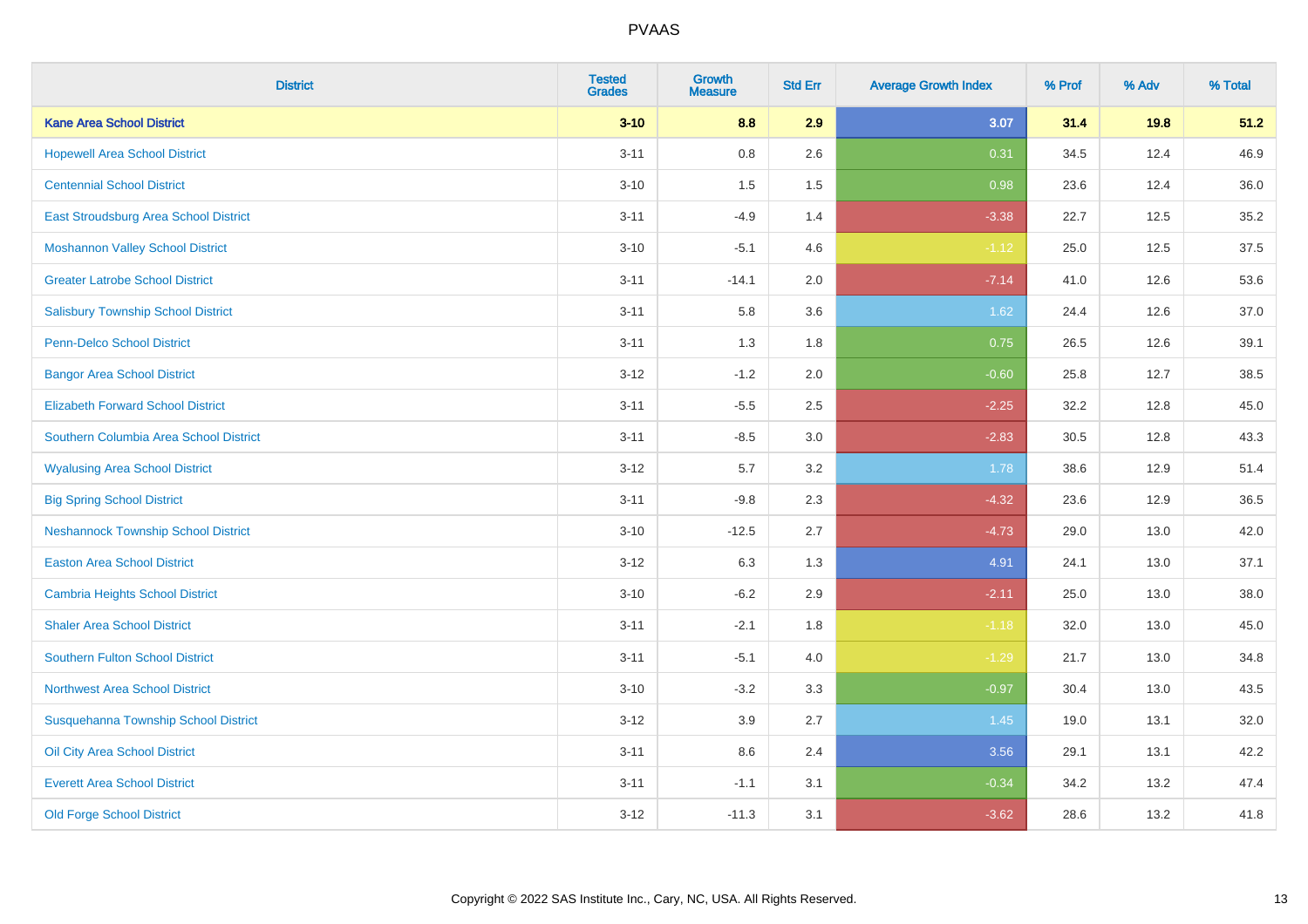| <b>District</b>                            | <b>Tested</b><br><b>Grades</b> | <b>Growth</b><br><b>Measure</b> | <b>Std Err</b> | <b>Average Growth Index</b> | % Prof | % Adv | % Total |
|--------------------------------------------|--------------------------------|---------------------------------|----------------|-----------------------------|--------|-------|---------|
| <b>Kane Area School District</b>           | $3 - 10$                       | 8.8                             | 2.9            | 3.07                        | 31.4   | 19.8  | 51.2    |
| <b>Hopewell Area School District</b>       | $3 - 11$                       | $0.8\,$                         | 2.6            | 0.31                        | 34.5   | 12.4  | 46.9    |
| <b>Centennial School District</b>          | $3 - 10$                       | 1.5                             | 1.5            | 0.98                        | 23.6   | 12.4  | 36.0    |
| East Stroudsburg Area School District      | $3 - 11$                       | $-4.9$                          | 1.4            | $-3.38$                     | 22.7   | 12.5  | 35.2    |
| <b>Moshannon Valley School District</b>    | $3 - 10$                       | $-5.1$                          | 4.6            | $-1.12$                     | 25.0   | 12.5  | 37.5    |
| <b>Greater Latrobe School District</b>     | $3 - 11$                       | $-14.1$                         | 2.0            | $-7.14$                     | 41.0   | 12.6  | 53.6    |
| <b>Salisbury Township School District</b>  | $3 - 11$                       | 5.8                             | 3.6            | 1.62                        | 24.4   | 12.6  | 37.0    |
| <b>Penn-Delco School District</b>          | $3 - 11$                       | 1.3                             | 1.8            | 0.75                        | 26.5   | 12.6  | 39.1    |
| <b>Bangor Area School District</b>         | $3 - 12$                       | $-1.2$                          | 2.0            | $-0.60$                     | 25.8   | 12.7  | 38.5    |
| <b>Elizabeth Forward School District</b>   | $3 - 11$                       | $-5.5$                          | 2.5            | $-2.25$                     | 32.2   | 12.8  | 45.0    |
| Southern Columbia Area School District     | $3 - 11$                       | $-8.5$                          | 3.0            | $-2.83$                     | 30.5   | 12.8  | 43.3    |
| <b>Wyalusing Area School District</b>      | $3 - 12$                       | 5.7                             | 3.2            | 1.78                        | 38.6   | 12.9  | 51.4    |
| <b>Big Spring School District</b>          | $3 - 11$                       | $-9.8$                          | 2.3            | $-4.32$                     | 23.6   | 12.9  | 36.5    |
| <b>Neshannock Township School District</b> | $3 - 10$                       | $-12.5$                         | 2.7            | $-4.73$                     | 29.0   | 13.0  | 42.0    |
| <b>Easton Area School District</b>         | $3 - 12$                       | 6.3                             | 1.3            | 4.91                        | 24.1   | 13.0  | 37.1    |
| Cambria Heights School District            | $3 - 10$                       | $-6.2$                          | 2.9            | $-2.11$                     | 25.0   | 13.0  | 38.0    |
| <b>Shaler Area School District</b>         | $3 - 11$                       | $-2.1$                          | 1.8            | $-1.18$                     | 32.0   | 13.0  | 45.0    |
| <b>Southern Fulton School District</b>     | $3 - 11$                       | $-5.1$                          | 4.0            | $-1.29$                     | 21.7   | 13.0  | 34.8    |
| <b>Northwest Area School District</b>      | $3 - 10$                       | $-3.2$                          | 3.3            | $-0.97$                     | 30.4   | 13.0  | 43.5    |
| Susquehanna Township School District       | $3 - 12$                       | 3.9                             | 2.7            | 1.45                        | 19.0   | 13.1  | 32.0    |
| Oil City Area School District              | $3 - 11$                       | 8.6                             | 2.4            | 3.56                        | 29.1   | 13.1  | 42.2    |
| <b>Everett Area School District</b>        | $3 - 11$                       | $-1.1$                          | 3.1            | $-0.34$                     | 34.2   | 13.2  | 47.4    |
| <b>Old Forge School District</b>           | $3 - 12$                       | $-11.3$                         | 3.1            | $-3.62$                     | 28.6   | 13.2  | 41.8    |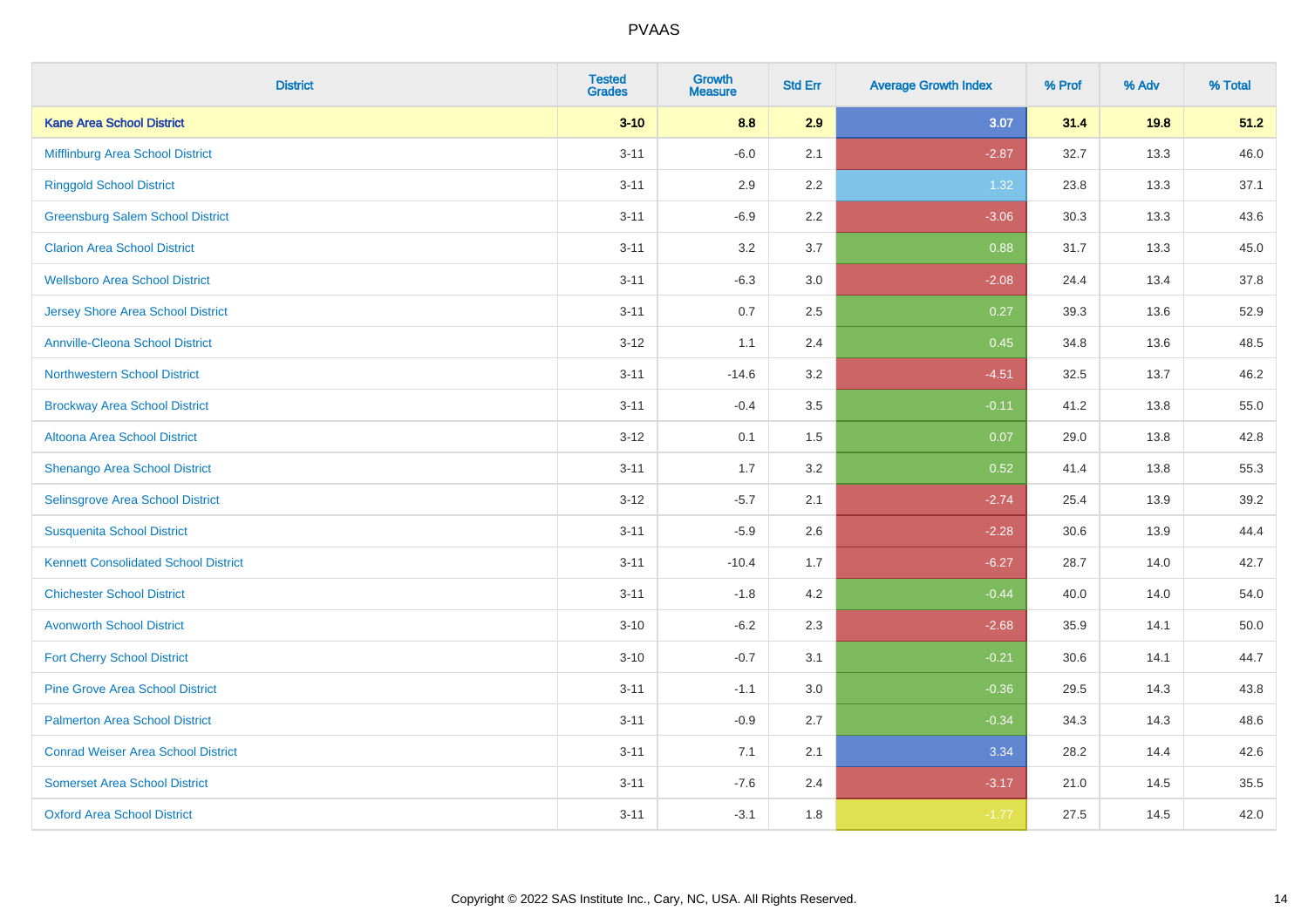| <b>District</b>                             | <b>Tested</b><br><b>Grades</b> | <b>Growth</b><br><b>Measure</b> | <b>Std Err</b> | <b>Average Growth Index</b> | % Prof | % Adv | % Total |
|---------------------------------------------|--------------------------------|---------------------------------|----------------|-----------------------------|--------|-------|---------|
| <b>Kane Area School District</b>            | $3 - 10$                       | 8.8                             | 2.9            | 3.07                        | 31.4   | 19.8  | 51.2    |
| Mifflinburg Area School District            | $3 - 11$                       | $-6.0$                          | 2.1            | $-2.87$                     | 32.7   | 13.3  | 46.0    |
| <b>Ringgold School District</b>             | $3 - 11$                       | 2.9                             | 2.2            | 1.32                        | 23.8   | 13.3  | 37.1    |
| <b>Greensburg Salem School District</b>     | $3 - 11$                       | $-6.9$                          | 2.2            | $-3.06$                     | 30.3   | 13.3  | 43.6    |
| <b>Clarion Area School District</b>         | $3 - 11$                       | 3.2                             | 3.7            | 0.88                        | 31.7   | 13.3  | 45.0    |
| <b>Wellsboro Area School District</b>       | $3 - 11$                       | $-6.3$                          | 3.0            | $-2.08$                     | 24.4   | 13.4  | 37.8    |
| <b>Jersey Shore Area School District</b>    | $3 - 11$                       | 0.7                             | 2.5            | 0.27                        | 39.3   | 13.6  | 52.9    |
| <b>Annville-Cleona School District</b>      | $3 - 12$                       | 1.1                             | 2.4            | 0.45                        | 34.8   | 13.6  | 48.5    |
| Northwestern School District                | $3 - 11$                       | $-14.6$                         | 3.2            | $-4.51$                     | 32.5   | 13.7  | 46.2    |
| <b>Brockway Area School District</b>        | $3 - 11$                       | $-0.4$                          | 3.5            | $-0.11$                     | 41.2   | 13.8  | 55.0    |
| Altoona Area School District                | $3 - 12$                       | 0.1                             | 1.5            | 0.07                        | 29.0   | 13.8  | 42.8    |
| Shenango Area School District               | $3 - 11$                       | 1.7                             | 3.2            | 0.52                        | 41.4   | 13.8  | 55.3    |
| Selinsgrove Area School District            | $3 - 12$                       | $-5.7$                          | 2.1            | $-2.74$                     | 25.4   | 13.9  | 39.2    |
| <b>Susquenita School District</b>           | $3 - 11$                       | $-5.9$                          | 2.6            | $-2.28$                     | 30.6   | 13.9  | 44.4    |
| <b>Kennett Consolidated School District</b> | $3 - 11$                       | $-10.4$                         | 1.7            | $-6.27$                     | 28.7   | 14.0  | 42.7    |
| <b>Chichester School District</b>           | $3 - 11$                       | $-1.8$                          | 4.2            | $-0.44$                     | 40.0   | 14.0  | 54.0    |
| <b>Avonworth School District</b>            | $3 - 10$                       | $-6.2$                          | 2.3            | $-2.68$                     | 35.9   | 14.1  | 50.0    |
| <b>Fort Cherry School District</b>          | $3 - 10$                       | $-0.7$                          | 3.1            | $-0.21$                     | 30.6   | 14.1  | 44.7    |
| <b>Pine Grove Area School District</b>      | $3 - 11$                       | $-1.1$                          | 3.0            | $-0.36$                     | 29.5   | 14.3  | 43.8    |
| <b>Palmerton Area School District</b>       | $3 - 11$                       | $-0.9$                          | 2.7            | $-0.34$                     | 34.3   | 14.3  | 48.6    |
| <b>Conrad Weiser Area School District</b>   | $3 - 11$                       | 7.1                             | 2.1            | 3.34                        | 28.2   | 14.4  | 42.6    |
| <b>Somerset Area School District</b>        | $3 - 11$                       | $-7.6$                          | 2.4            | $-3.17$                     | 21.0   | 14.5  | 35.5    |
| <b>Oxford Area School District</b>          | $3 - 11$                       | $-3.1$                          | 1.8            | $-1.77$                     | 27.5   | 14.5  | 42.0    |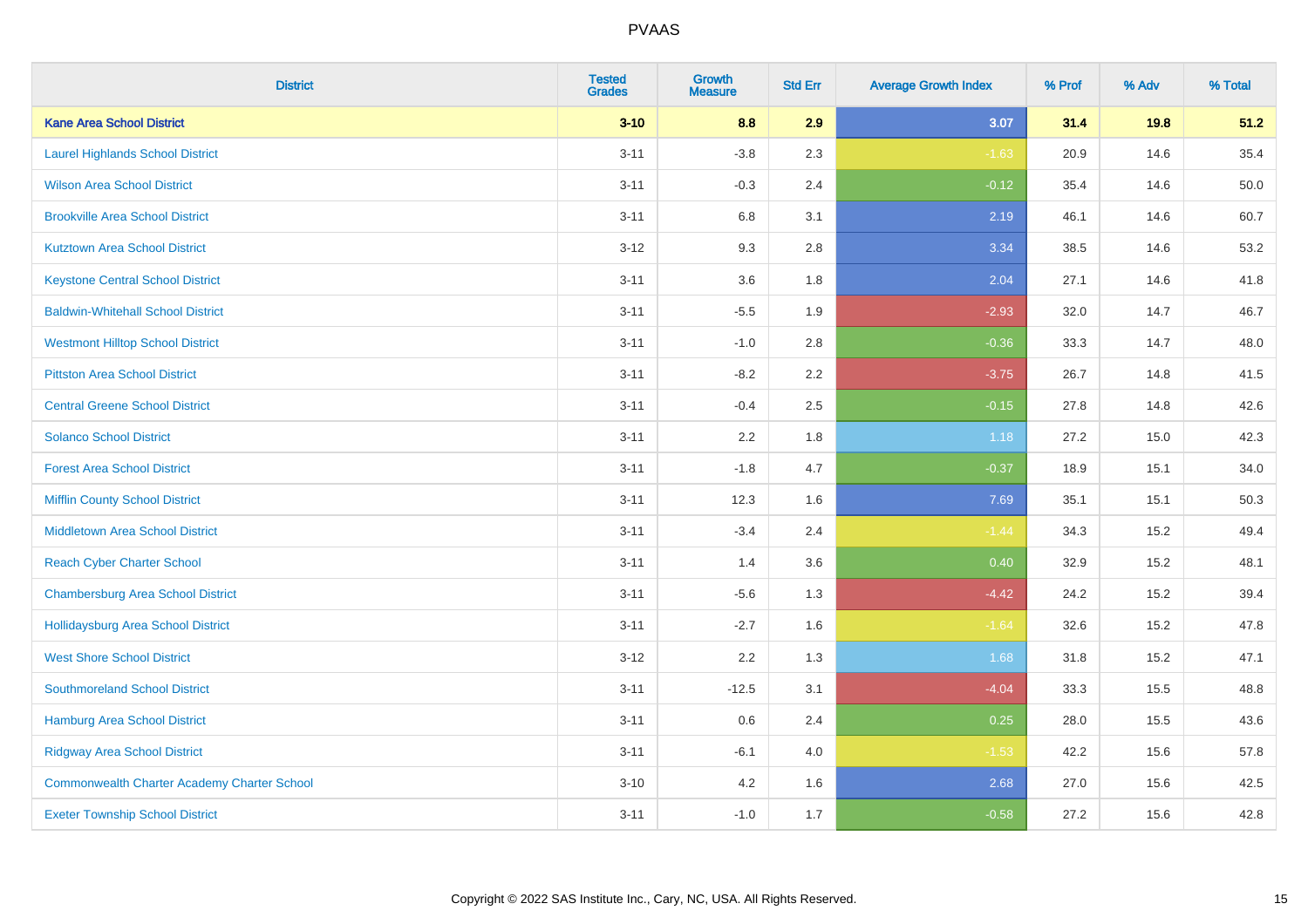| <b>District</b>                                    | <b>Tested</b><br><b>Grades</b> | <b>Growth</b><br><b>Measure</b> | <b>Std Err</b> | <b>Average Growth Index</b> | % Prof | % Adv | % Total |
|----------------------------------------------------|--------------------------------|---------------------------------|----------------|-----------------------------|--------|-------|---------|
| <b>Kane Area School District</b>                   | $3 - 10$                       | 8.8                             | 2.9            | 3.07                        | 31.4   | 19.8  | 51.2    |
| <b>Laurel Highlands School District</b>            | $3 - 11$                       | $-3.8$                          | 2.3            | $-1.63$                     | 20.9   | 14.6  | 35.4    |
| <b>Wilson Area School District</b>                 | $3 - 11$                       | $-0.3$                          | 2.4            | $-0.12$                     | 35.4   | 14.6  | 50.0    |
| <b>Brookville Area School District</b>             | $3 - 11$                       | $6.8\,$                         | 3.1            | 2.19                        | 46.1   | 14.6  | 60.7    |
| <b>Kutztown Area School District</b>               | $3 - 12$                       | 9.3                             | 2.8            | 3.34                        | 38.5   | 14.6  | 53.2    |
| <b>Keystone Central School District</b>            | $3 - 11$                       | 3.6                             | 1.8            | 2.04                        | 27.1   | 14.6  | 41.8    |
| <b>Baldwin-Whitehall School District</b>           | $3 - 11$                       | $-5.5$                          | 1.9            | $-2.93$                     | 32.0   | 14.7  | 46.7    |
| <b>Westmont Hilltop School District</b>            | $3 - 11$                       | $-1.0$                          | 2.8            | $-0.36$                     | 33.3   | 14.7  | 48.0    |
| <b>Pittston Area School District</b>               | $3 - 11$                       | $-8.2$                          | 2.2            | $-3.75$                     | 26.7   | 14.8  | 41.5    |
| <b>Central Greene School District</b>              | $3 - 11$                       | $-0.4$                          | 2.5            | $-0.15$                     | 27.8   | 14.8  | 42.6    |
| <b>Solanco School District</b>                     | $3 - 11$                       | 2.2                             | 1.8            | 1.18                        | 27.2   | 15.0  | 42.3    |
| <b>Forest Area School District</b>                 | $3 - 11$                       | $-1.8$                          | 4.7            | $-0.37$                     | 18.9   | 15.1  | 34.0    |
| <b>Mifflin County School District</b>              | $3 - 11$                       | 12.3                            | 1.6            | 7.69                        | 35.1   | 15.1  | 50.3    |
| <b>Middletown Area School District</b>             | $3 - 11$                       | $-3.4$                          | 2.4            | $-1.44$                     | 34.3   | 15.2  | 49.4    |
| <b>Reach Cyber Charter School</b>                  | $3 - 11$                       | 1.4                             | 3.6            | 0.40                        | 32.9   | 15.2  | 48.1    |
| <b>Chambersburg Area School District</b>           | $3 - 11$                       | $-5.6$                          | 1.3            | $-4.42$                     | 24.2   | 15.2  | 39.4    |
| Hollidaysburg Area School District                 | $3 - 11$                       | $-2.7$                          | 1.6            | $-1.64$                     | 32.6   | 15.2  | 47.8    |
| <b>West Shore School District</b>                  | $3 - 12$                       | 2.2                             | 1.3            | 1.68                        | 31.8   | 15.2  | 47.1    |
| <b>Southmoreland School District</b>               | $3 - 11$                       | $-12.5$                         | 3.1            | $-4.04$                     | 33.3   | 15.5  | 48.8    |
| <b>Hamburg Area School District</b>                | $3 - 11$                       | 0.6                             | 2.4            | 0.25                        | 28.0   | 15.5  | 43.6    |
| <b>Ridgway Area School District</b>                | $3 - 11$                       | $-6.1$                          | 4.0            | $-1.53$                     | 42.2   | 15.6  | 57.8    |
| <b>Commonwealth Charter Academy Charter School</b> | $3 - 10$                       | 4.2                             | 1.6            | 2.68                        | 27.0   | 15.6  | 42.5    |
| <b>Exeter Township School District</b>             | $3 - 11$                       | $-1.0$                          | 1.7            | $-0.58$                     | 27.2   | 15.6  | 42.8    |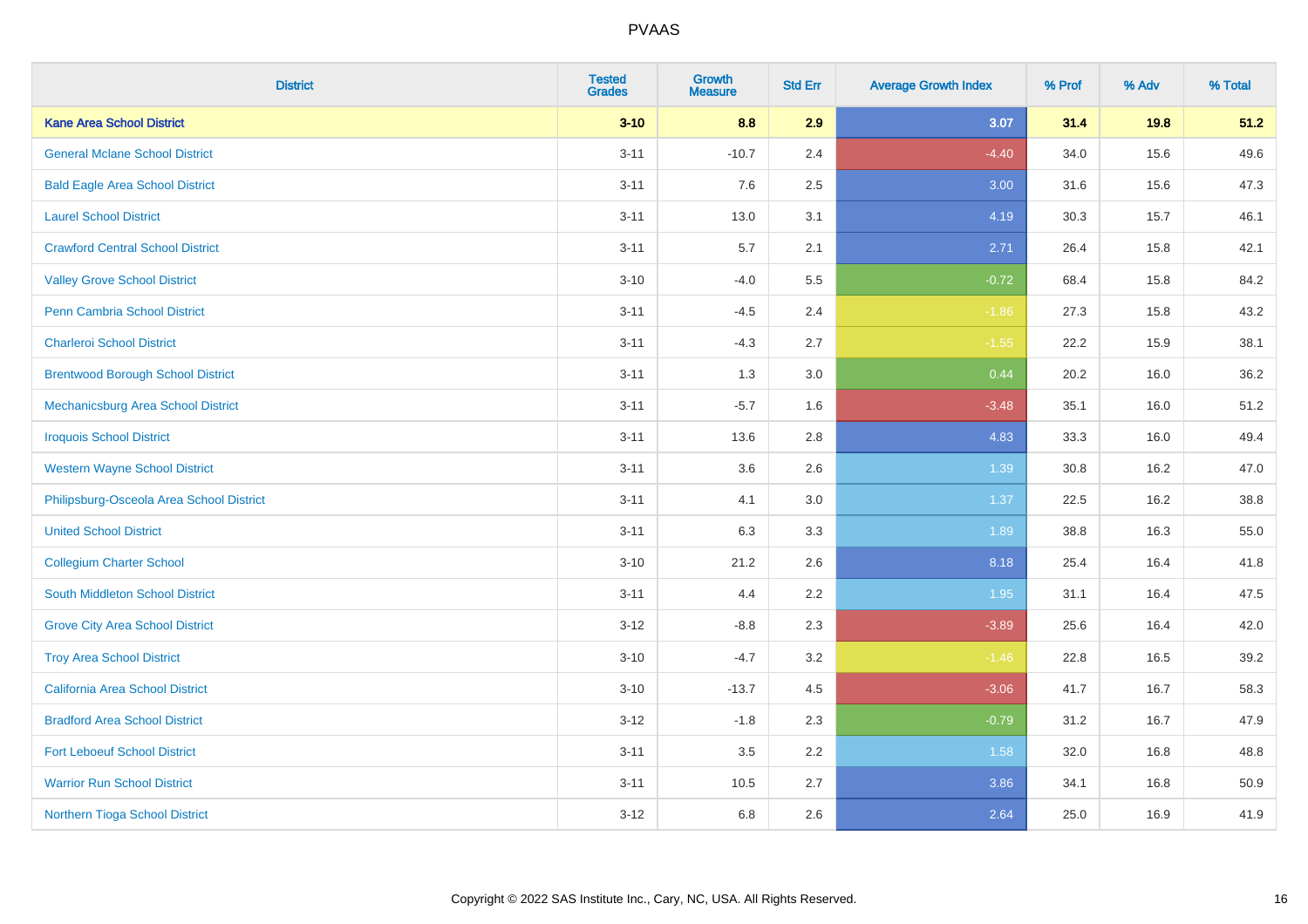| <b>District</b>                          | <b>Tested</b><br><b>Grades</b> | <b>Growth</b><br><b>Measure</b> | <b>Std Err</b> | <b>Average Growth Index</b> | % Prof | % Adv | % Total |
|------------------------------------------|--------------------------------|---------------------------------|----------------|-----------------------------|--------|-------|---------|
| <b>Kane Area School District</b>         | $3 - 10$                       | 8.8                             | 2.9            | 3.07                        | 31.4   | 19.8  | 51.2    |
| <b>General Mclane School District</b>    | $3 - 11$                       | $-10.7$                         | 2.4            | $-4.40$                     | 34.0   | 15.6  | 49.6    |
| <b>Bald Eagle Area School District</b>   | $3 - 11$                       | 7.6                             | 2.5            | 3.00                        | 31.6   | 15.6  | 47.3    |
| <b>Laurel School District</b>            | $3 - 11$                       | 13.0                            | 3.1            | 4.19                        | 30.3   | 15.7  | 46.1    |
| <b>Crawford Central School District</b>  | $3 - 11$                       | 5.7                             | 2.1            | 2.71                        | 26.4   | 15.8  | 42.1    |
| <b>Valley Grove School District</b>      | $3 - 10$                       | $-4.0$                          | 5.5            | $-0.72$                     | 68.4   | 15.8  | 84.2    |
| <b>Penn Cambria School District</b>      | $3 - 11$                       | $-4.5$                          | 2.4            | $-1.86$                     | 27.3   | 15.8  | 43.2    |
| <b>Charleroi School District</b>         | $3 - 11$                       | $-4.3$                          | 2.7            | $-1.55$                     | 22.2   | 15.9  | 38.1    |
| <b>Brentwood Borough School District</b> | $3 - 11$                       | 1.3                             | 3.0            | 0.44                        | 20.2   | 16.0  | 36.2    |
| Mechanicsburg Area School District       | $3 - 11$                       | $-5.7$                          | 1.6            | $-3.48$                     | 35.1   | 16.0  | 51.2    |
| <b>Iroquois School District</b>          | $3 - 11$                       | 13.6                            | 2.8            | 4.83                        | 33.3   | 16.0  | 49.4    |
| <b>Western Wayne School District</b>     | $3 - 11$                       | 3.6                             | 2.6            | 1.39                        | 30.8   | 16.2  | 47.0    |
| Philipsburg-Osceola Area School District | $3 - 11$                       | 4.1                             | 3.0            | 1.37                        | 22.5   | 16.2  | 38.8    |
| <b>United School District</b>            | $3 - 11$                       | 6.3                             | 3.3            | 1.89                        | 38.8   | 16.3  | 55.0    |
| <b>Collegium Charter School</b>          | $3 - 10$                       | 21.2                            | 2.6            | 8.18                        | 25.4   | 16.4  | 41.8    |
| South Middleton School District          | $3 - 11$                       | 4.4                             | 2.2            | 1.95                        | 31.1   | 16.4  | 47.5    |
| <b>Grove City Area School District</b>   | $3 - 12$                       | $-8.8$                          | 2.3            | $-3.89$                     | 25.6   | 16.4  | 42.0    |
| <b>Troy Area School District</b>         | $3 - 10$                       | $-4.7$                          | 3.2            | $-1.46$                     | 22.8   | 16.5  | 39.2    |
| <b>California Area School District</b>   | $3 - 10$                       | $-13.7$                         | 4.5            | $-3.06$                     | 41.7   | 16.7  | 58.3    |
| <b>Bradford Area School District</b>     | $3 - 12$                       | $-1.8$                          | 2.3            | $-0.79$                     | 31.2   | 16.7  | 47.9    |
| <b>Fort Leboeuf School District</b>      | $3 - 11$                       | 3.5                             | 2.2            | 1.58                        | 32.0   | 16.8  | 48.8    |
| <b>Warrior Run School District</b>       | $3 - 11$                       | 10.5                            | 2.7            | 3.86                        | 34.1   | 16.8  | 50.9    |
| Northern Tioga School District           | $3 - 12$                       | 6.8                             | 2.6            | 2.64                        | 25.0   | 16.9  | 41.9    |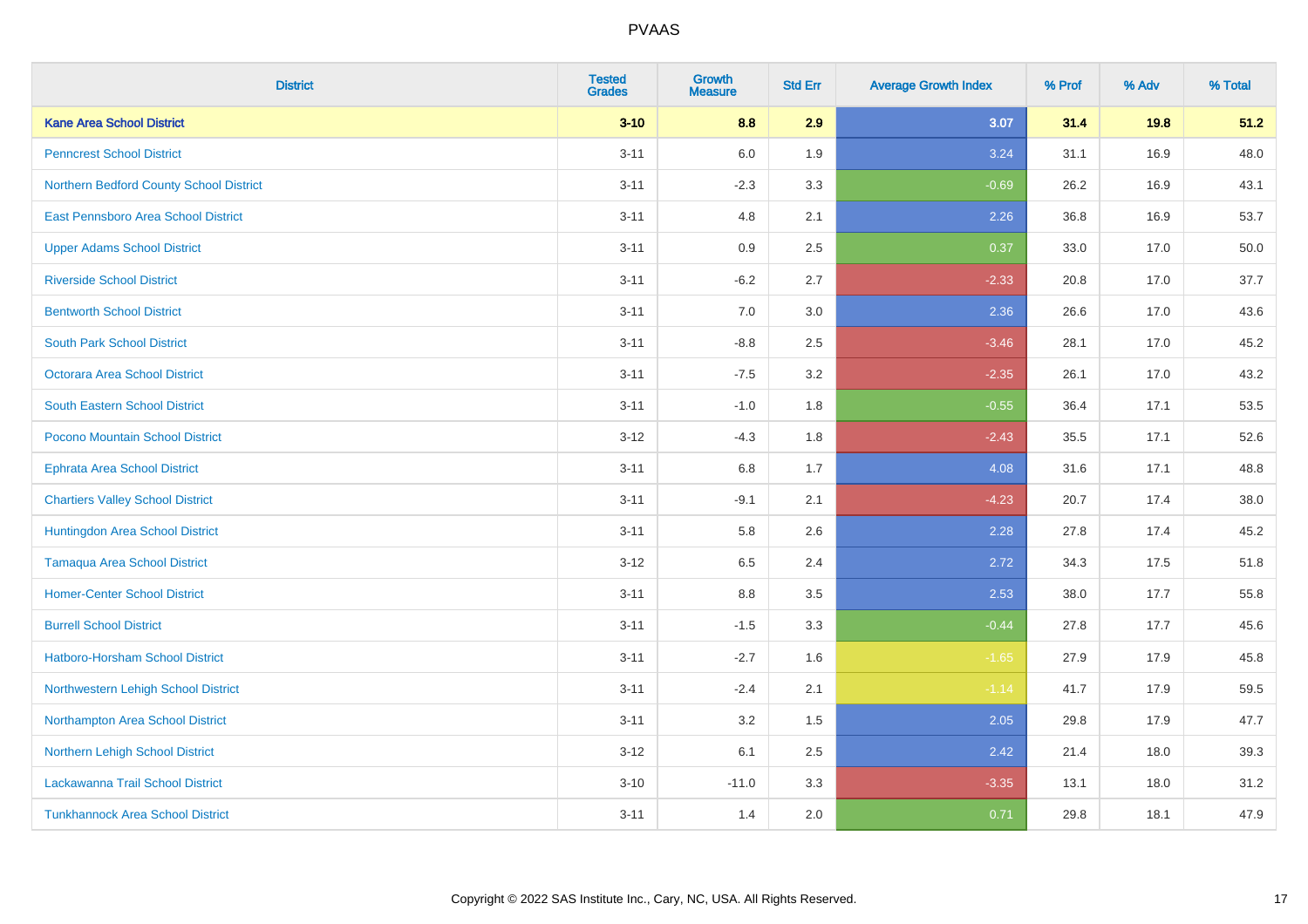| <b>District</b>                         | <b>Tested</b><br><b>Grades</b> | <b>Growth</b><br><b>Measure</b> | <b>Std Err</b> | <b>Average Growth Index</b> | % Prof | % Adv | % Total |
|-----------------------------------------|--------------------------------|---------------------------------|----------------|-----------------------------|--------|-------|---------|
| <b>Kane Area School District</b>        | $3 - 10$                       | 8.8                             | 2.9            | 3.07                        | 31.4   | 19.8  | 51.2    |
| <b>Penncrest School District</b>        | $3 - 11$                       | 6.0                             | 1.9            | 3.24                        | 31.1   | 16.9  | 48.0    |
| Northern Bedford County School District | $3 - 11$                       | $-2.3$                          | 3.3            | $-0.69$                     | 26.2   | 16.9  | 43.1    |
| East Pennsboro Area School District     | $3 - 11$                       | 4.8                             | 2.1            | 2.26                        | 36.8   | 16.9  | 53.7    |
| <b>Upper Adams School District</b>      | $3 - 11$                       | 0.9                             | 2.5            | 0.37                        | 33.0   | 17.0  | 50.0    |
| <b>Riverside School District</b>        | $3 - 11$                       | $-6.2$                          | 2.7            | $-2.33$                     | 20.8   | 17.0  | 37.7    |
| <b>Bentworth School District</b>        | $3 - 11$                       | 7.0                             | 3.0            | 2.36                        | 26.6   | 17.0  | 43.6    |
| <b>South Park School District</b>       | $3 - 11$                       | $-8.8$                          | 2.5            | $-3.46$                     | 28.1   | 17.0  | 45.2    |
| <b>Octorara Area School District</b>    | $3 - 11$                       | $-7.5$                          | 3.2            | $-2.35$                     | 26.1   | 17.0  | 43.2    |
| <b>South Eastern School District</b>    | $3 - 11$                       | $-1.0$                          | 1.8            | $-0.55$                     | 36.4   | 17.1  | 53.5    |
| Pocono Mountain School District         | $3 - 12$                       | $-4.3$                          | 1.8            | $-2.43$                     | 35.5   | 17.1  | 52.6    |
| <b>Ephrata Area School District</b>     | $3 - 11$                       | 6.8                             | 1.7            | 4.08                        | 31.6   | 17.1  | 48.8    |
| <b>Chartiers Valley School District</b> | $3 - 11$                       | $-9.1$                          | 2.1            | $-4.23$                     | 20.7   | 17.4  | 38.0    |
| Huntingdon Area School District         | $3 - 11$                       | 5.8                             | 2.6            | 2.28                        | 27.8   | 17.4  | 45.2    |
| <b>Tamaqua Area School District</b>     | $3 - 12$                       | 6.5                             | 2.4            | 2.72                        | 34.3   | 17.5  | 51.8    |
| <b>Homer-Center School District</b>     | $3 - 11$                       | 8.8                             | 3.5            | 2.53                        | 38.0   | 17.7  | 55.8    |
| <b>Burrell School District</b>          | $3 - 11$                       | $-1.5$                          | 3.3            | $-0.44$                     | 27.8   | 17.7  | 45.6    |
| Hatboro-Horsham School District         | $3 - 11$                       | $-2.7$                          | 1.6            | $-1.65$                     | 27.9   | 17.9  | 45.8    |
| Northwestern Lehigh School District     | $3 - 11$                       | $-2.4$                          | 2.1            | $-1.14$                     | 41.7   | 17.9  | 59.5    |
| Northampton Area School District        | $3 - 11$                       | 3.2                             | 1.5            | 2.05                        | 29.8   | 17.9  | 47.7    |
| Northern Lehigh School District         | $3-12$                         | 6.1                             | 2.5            | 2.42                        | 21.4   | 18.0  | 39.3    |
| Lackawanna Trail School District        | $3 - 10$                       | $-11.0$                         | 3.3            | $-3.35$                     | 13.1   | 18.0  | 31.2    |
| <b>Tunkhannock Area School District</b> | $3 - 11$                       | 1.4                             | 2.0            | 0.71                        | 29.8   | 18.1  | 47.9    |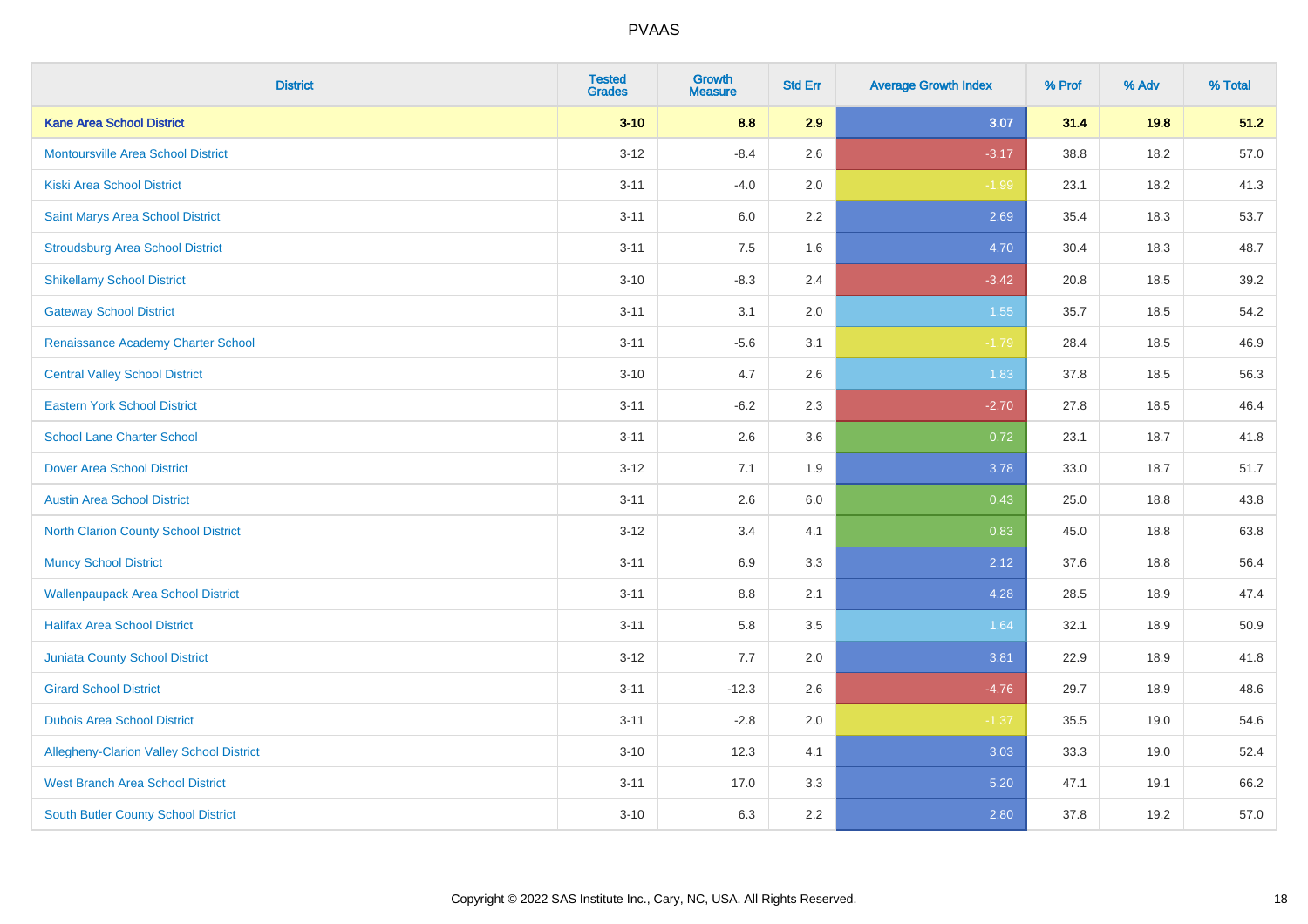| <b>District</b>                                 | <b>Tested</b><br><b>Grades</b> | <b>Growth</b><br><b>Measure</b> | <b>Std Err</b> | <b>Average Growth Index</b> | % Prof | % Adv | % Total |
|-------------------------------------------------|--------------------------------|---------------------------------|----------------|-----------------------------|--------|-------|---------|
| <b>Kane Area School District</b>                | $3 - 10$                       | 8.8                             | 2.9            | 3.07                        | 31.4   | 19.8  | 51.2    |
| <b>Montoursville Area School District</b>       | $3 - 12$                       | $-8.4$                          | 2.6            | $-3.17$                     | 38.8   | 18.2  | 57.0    |
| <b>Kiski Area School District</b>               | $3 - 11$                       | $-4.0$                          | 2.0            | $-1.99$                     | 23.1   | 18.2  | 41.3    |
| Saint Marys Area School District                | $3 - 11$                       | 6.0                             | 2.2            | 2.69                        | 35.4   | 18.3  | 53.7    |
| <b>Stroudsburg Area School District</b>         | $3 - 11$                       | 7.5                             | 1.6            | 4.70                        | 30.4   | 18.3  | 48.7    |
| <b>Shikellamy School District</b>               | $3 - 10$                       | $-8.3$                          | 2.4            | $-3.42$                     | 20.8   | 18.5  | 39.2    |
| <b>Gateway School District</b>                  | $3 - 11$                       | 3.1                             | 2.0            | 1.55                        | 35.7   | 18.5  | 54.2    |
| Renaissance Academy Charter School              | $3 - 11$                       | $-5.6$                          | 3.1            | $-1.79$                     | 28.4   | 18.5  | 46.9    |
| <b>Central Valley School District</b>           | $3 - 10$                       | 4.7                             | 2.6            | 1.83                        | 37.8   | 18.5  | 56.3    |
| <b>Eastern York School District</b>             | $3 - 11$                       | $-6.2$                          | 2.3            | $-2.70$                     | 27.8   | 18.5  | 46.4    |
| <b>School Lane Charter School</b>               | $3 - 11$                       | 2.6                             | 3.6            | 0.72                        | 23.1   | 18.7  | 41.8    |
| <b>Dover Area School District</b>               | $3 - 12$                       | 7.1                             | 1.9            | 3.78                        | 33.0   | 18.7  | 51.7    |
| <b>Austin Area School District</b>              | $3 - 11$                       | 2.6                             | 6.0            | 0.43                        | 25.0   | 18.8  | 43.8    |
| <b>North Clarion County School District</b>     | $3 - 12$                       | 3.4                             | 4.1            | 0.83                        | 45.0   | 18.8  | 63.8    |
| <b>Muncy School District</b>                    | $3 - 11$                       | 6.9                             | 3.3            | 2.12                        | 37.6   | 18.8  | 56.4    |
| <b>Wallenpaupack Area School District</b>       | $3 - 11$                       | 8.8                             | 2.1            | 4.28                        | 28.5   | 18.9  | 47.4    |
| <b>Halifax Area School District</b>             | $3 - 11$                       | 5.8                             | 3.5            | 1.64                        | 32.1   | 18.9  | 50.9    |
| <b>Juniata County School District</b>           | $3 - 12$                       | 7.7                             | 2.0            | 3.81                        | 22.9   | 18.9  | 41.8    |
| <b>Girard School District</b>                   | $3 - 11$                       | $-12.3$                         | 2.6            | $-4.76$                     | 29.7   | 18.9  | 48.6    |
| <b>Dubois Area School District</b>              | $3 - 11$                       | $-2.8$                          | 2.0            | $-1.37$                     | 35.5   | 19.0  | 54.6    |
| <b>Allegheny-Clarion Valley School District</b> | $3 - 10$                       | 12.3                            | 4.1            | 3.03                        | 33.3   | 19.0  | 52.4    |
| <b>West Branch Area School District</b>         | $3 - 11$                       | 17.0                            | 3.3            | 5.20                        | 47.1   | 19.1  | 66.2    |
| South Butler County School District             | $3 - 10$                       | 6.3                             | 2.2            | 2.80                        | 37.8   | 19.2  | 57.0    |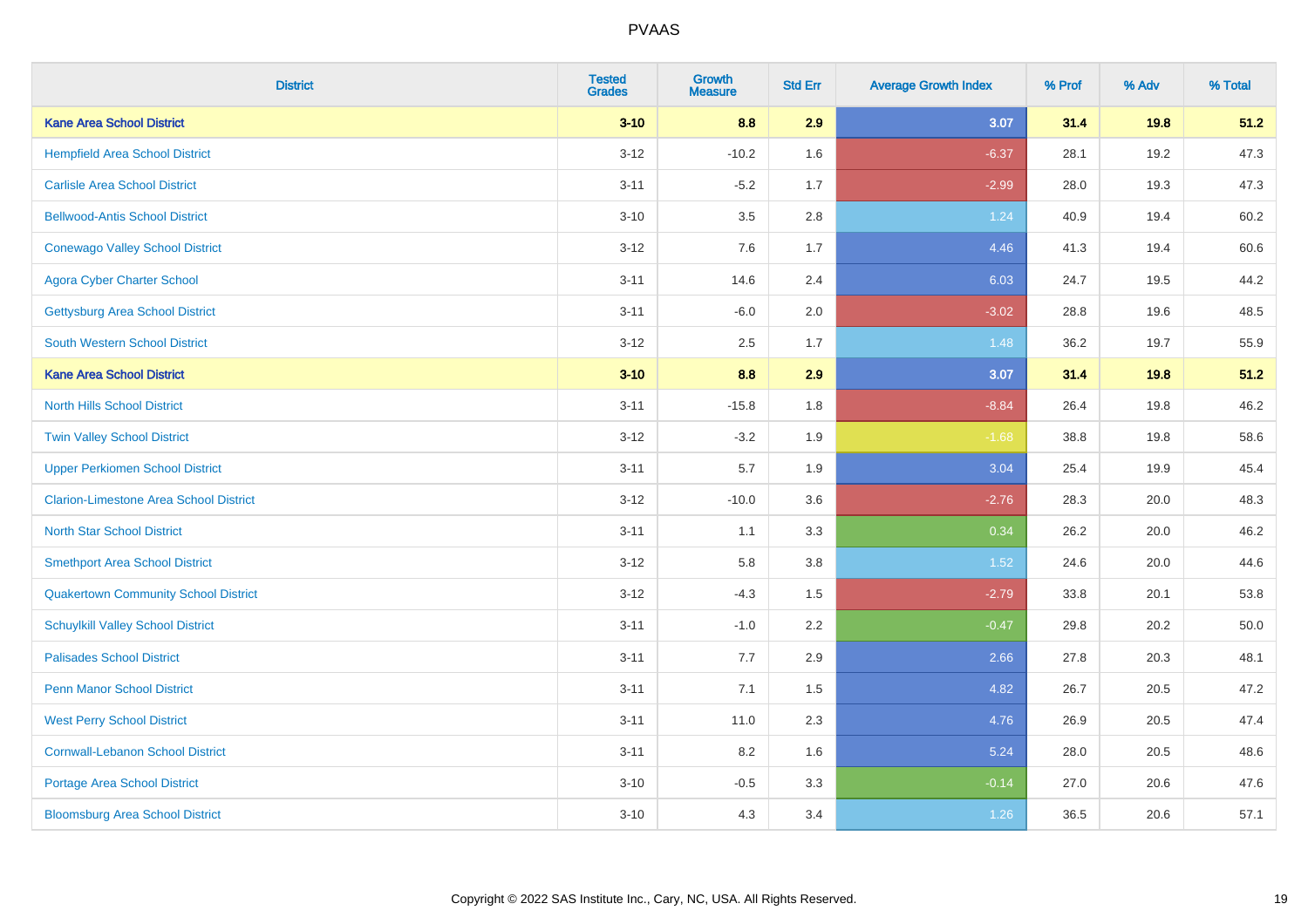| <b>District</b>                               | <b>Tested</b><br><b>Grades</b> | <b>Growth</b><br><b>Measure</b> | <b>Std Err</b> | <b>Average Growth Index</b> | % Prof | % Adv | % Total |
|-----------------------------------------------|--------------------------------|---------------------------------|----------------|-----------------------------|--------|-------|---------|
| <b>Kane Area School District</b>              | $3 - 10$                       | 8.8                             | 2.9            | 3.07                        | 31.4   | 19.8  | 51.2    |
| <b>Hempfield Area School District</b>         | $3-12$                         | $-10.2$                         | 1.6            | $-6.37$                     | 28.1   | 19.2  | 47.3    |
| <b>Carlisle Area School District</b>          | $3 - 11$                       | $-5.2$                          | 1.7            | $-2.99$                     | 28.0   | 19.3  | 47.3    |
| <b>Bellwood-Antis School District</b>         | $3 - 10$                       | $3.5\,$                         | 2.8            | 1.24                        | 40.9   | 19.4  | 60.2    |
| <b>Conewago Valley School District</b>        | $3 - 12$                       | 7.6                             | 1.7            | 4.46                        | 41.3   | 19.4  | 60.6    |
| <b>Agora Cyber Charter School</b>             | $3 - 11$                       | 14.6                            | 2.4            | 6.03                        | 24.7   | 19.5  | 44.2    |
| <b>Gettysburg Area School District</b>        | $3 - 11$                       | $-6.0$                          | 2.0            | $-3.02$                     | 28.8   | 19.6  | 48.5    |
| <b>South Western School District</b>          | $3 - 12$                       | 2.5                             | 1.7            | 1.48                        | 36.2   | 19.7  | 55.9    |
| <b>Kane Area School District</b>              | $3 - 10$                       | 8.8                             | 2.9            | 3.07                        | 31.4   | 19.8  | 51.2    |
| <b>North Hills School District</b>            | $3 - 11$                       | $-15.8$                         | 1.8            | $-8.84$                     | 26.4   | 19.8  | 46.2    |
| <b>Twin Valley School District</b>            | $3 - 12$                       | $-3.2$                          | 1.9            | $-1.68$                     | 38.8   | 19.8  | 58.6    |
| <b>Upper Perkiomen School District</b>        | $3 - 11$                       | 5.7                             | 1.9            | 3.04                        | 25.4   | 19.9  | 45.4    |
| <b>Clarion-Limestone Area School District</b> | $3 - 12$                       | $-10.0$                         | 3.6            | $-2.76$                     | 28.3   | 20.0  | 48.3    |
| <b>North Star School District</b>             | $3 - 11$                       | 1.1                             | 3.3            | 0.34                        | 26.2   | 20.0  | 46.2    |
| <b>Smethport Area School District</b>         | $3 - 12$                       | 5.8                             | 3.8            | 1.52                        | 24.6   | 20.0  | 44.6    |
| <b>Quakertown Community School District</b>   | $3 - 12$                       | $-4.3$                          | 1.5            | $-2.79$                     | 33.8   | 20.1  | 53.8    |
| <b>Schuylkill Valley School District</b>      | $3 - 11$                       | $-1.0$                          | 2.2            | $-0.47$                     | 29.8   | 20.2  | 50.0    |
| <b>Palisades School District</b>              | $3 - 11$                       | 7.7                             | 2.9            | 2.66                        | 27.8   | 20.3  | 48.1    |
| <b>Penn Manor School District</b>             | $3 - 11$                       | 7.1                             | 1.5            | 4.82                        | 26.7   | 20.5  | 47.2    |
| <b>West Perry School District</b>             | $3 - 11$                       | 11.0                            | 2.3            | 4.76                        | 26.9   | 20.5  | 47.4    |
| <b>Cornwall-Lebanon School District</b>       | $3 - 11$                       | 8.2                             | 1.6            | 5.24                        | 28.0   | 20.5  | 48.6    |
| Portage Area School District                  | $3 - 10$                       | $-0.5$                          | 3.3            | $-0.14$                     | 27.0   | 20.6  | 47.6    |
| <b>Bloomsburg Area School District</b>        | $3 - 10$                       | 4.3                             | 3.4            | 1.26                        | 36.5   | 20.6  | 57.1    |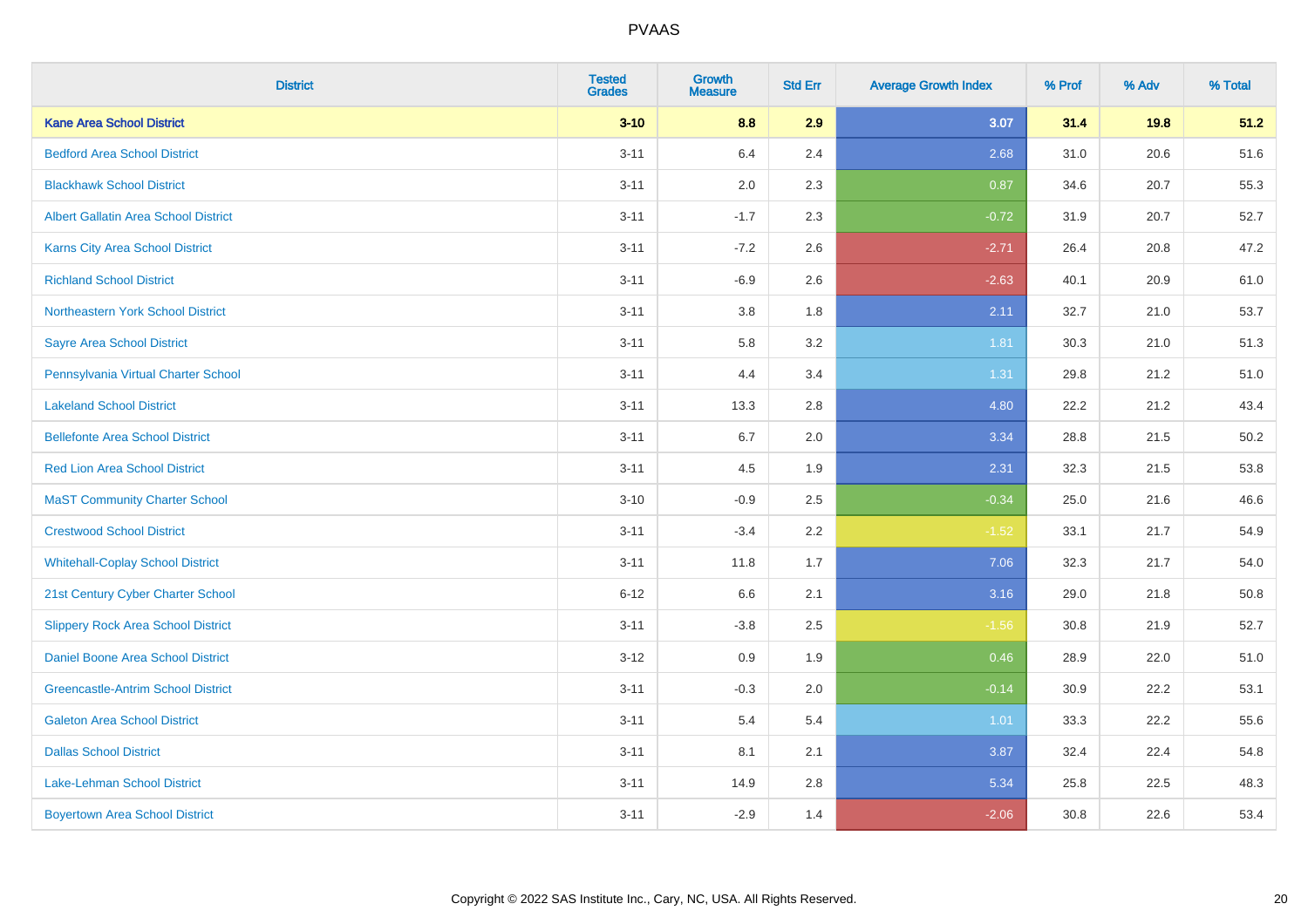| <b>District</b>                             | <b>Tested</b><br><b>Grades</b> | <b>Growth</b><br><b>Measure</b> | <b>Std Err</b> | <b>Average Growth Index</b> | % Prof | % Adv | % Total |
|---------------------------------------------|--------------------------------|---------------------------------|----------------|-----------------------------|--------|-------|---------|
| <b>Kane Area School District</b>            | $3 - 10$                       | 8.8                             | 2.9            | 3.07                        | 31.4   | 19.8  | 51.2    |
| <b>Bedford Area School District</b>         | $3 - 11$                       | 6.4                             | 2.4            | 2.68                        | 31.0   | 20.6  | 51.6    |
| <b>Blackhawk School District</b>            | $3 - 11$                       | 2.0                             | 2.3            | 0.87                        | 34.6   | 20.7  | 55.3    |
| <b>Albert Gallatin Area School District</b> | $3 - 11$                       | $-1.7$                          | 2.3            | $-0.72$                     | 31.9   | 20.7  | 52.7    |
| <b>Karns City Area School District</b>      | $3 - 11$                       | $-7.2$                          | 2.6            | $-2.71$                     | 26.4   | 20.8  | 47.2    |
| <b>Richland School District</b>             | $3 - 11$                       | $-6.9$                          | 2.6            | $-2.63$                     | 40.1   | 20.9  | 61.0    |
| Northeastern York School District           | $3 - 11$                       | 3.8                             | 1.8            | 2.11                        | 32.7   | 21.0  | 53.7    |
| <b>Sayre Area School District</b>           | $3 - 11$                       | 5.8                             | 3.2            | 1.81                        | 30.3   | 21.0  | 51.3    |
| Pennsylvania Virtual Charter School         | $3 - 11$                       | 4.4                             | 3.4            | 1.31                        | 29.8   | 21.2  | 51.0    |
| <b>Lakeland School District</b>             | $3 - 11$                       | 13.3                            | 2.8            | 4.80                        | 22.2   | 21.2  | 43.4    |
| <b>Bellefonte Area School District</b>      | $3 - 11$                       | 6.7                             | 2.0            | 3.34                        | 28.8   | 21.5  | 50.2    |
| <b>Red Lion Area School District</b>        | $3 - 11$                       | 4.5                             | 1.9            | 2.31                        | 32.3   | 21.5  | 53.8    |
| <b>MaST Community Charter School</b>        | $3 - 10$                       | $-0.9$                          | 2.5            | $-0.34$                     | 25.0   | 21.6  | 46.6    |
| <b>Crestwood School District</b>            | $3 - 11$                       | $-3.4$                          | 2.2            | $-1.52$                     | 33.1   | 21.7  | 54.9    |
| <b>Whitehall-Coplay School District</b>     | $3 - 11$                       | 11.8                            | 1.7            | 7.06                        | 32.3   | 21.7  | 54.0    |
| 21st Century Cyber Charter School           | $6 - 12$                       | 6.6                             | 2.1            | 3.16                        | 29.0   | 21.8  | 50.8    |
| <b>Slippery Rock Area School District</b>   | $3 - 11$                       | $-3.8$                          | 2.5            | $-1.56$                     | 30.8   | 21.9  | 52.7    |
| Daniel Boone Area School District           | $3 - 12$                       | 0.9                             | 1.9            | 0.46                        | 28.9   | 22.0  | 51.0    |
| <b>Greencastle-Antrim School District</b>   | $3 - 11$                       | $-0.3$                          | 2.0            | $-0.14$                     | 30.9   | 22.2  | 53.1    |
| <b>Galeton Area School District</b>         | $3 - 11$                       | 5.4                             | 5.4            | 1.01                        | 33.3   | 22.2  | 55.6    |
| <b>Dallas School District</b>               | $3 - 11$                       | 8.1                             | 2.1            | 3.87                        | 32.4   | 22.4  | 54.8    |
| Lake-Lehman School District                 | $3 - 11$                       | 14.9                            | 2.8            | 5.34                        | 25.8   | 22.5  | 48.3    |
| <b>Boyertown Area School District</b>       | $3 - 11$                       | $-2.9$                          | 1.4            | $-2.06$                     | 30.8   | 22.6  | 53.4    |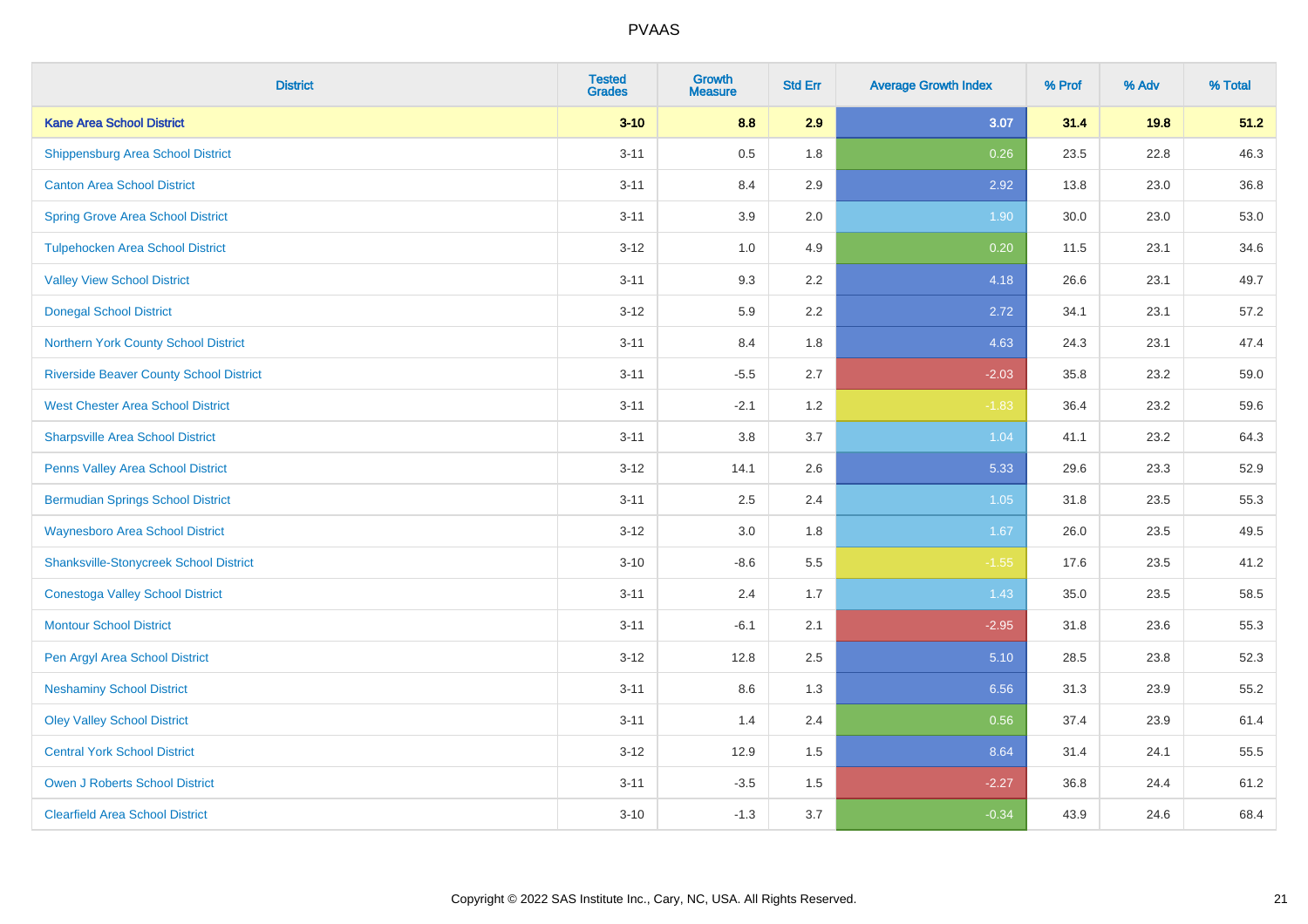| <b>District</b>                                | <b>Tested</b><br><b>Grades</b> | <b>Growth</b><br><b>Measure</b> | <b>Std Err</b> | <b>Average Growth Index</b> | % Prof | % Adv | % Total |
|------------------------------------------------|--------------------------------|---------------------------------|----------------|-----------------------------|--------|-------|---------|
| <b>Kane Area School District</b>               | $3 - 10$                       | 8.8                             | 2.9            | 3.07                        | 31.4   | 19.8  | 51.2    |
| <b>Shippensburg Area School District</b>       | $3 - 11$                       | 0.5                             | 1.8            | 0.26                        | 23.5   | 22.8  | 46.3    |
| <b>Canton Area School District</b>             | $3 - 11$                       | 8.4                             | 2.9            | 2.92                        | 13.8   | 23.0  | 36.8    |
| <b>Spring Grove Area School District</b>       | $3 - 11$                       | 3.9                             | 2.0            | 1.90                        | 30.0   | 23.0  | 53.0    |
| <b>Tulpehocken Area School District</b>        | $3 - 12$                       | 1.0                             | 4.9            | 0.20                        | 11.5   | 23.1  | 34.6    |
| <b>Valley View School District</b>             | $3 - 11$                       | 9.3                             | 2.2            | 4.18                        | 26.6   | 23.1  | 49.7    |
| <b>Donegal School District</b>                 | $3 - 12$                       | 5.9                             | 2.2            | 2.72                        | 34.1   | 23.1  | 57.2    |
| Northern York County School District           | $3 - 11$                       | 8.4                             | 1.8            | 4.63                        | 24.3   | 23.1  | 47.4    |
| <b>Riverside Beaver County School District</b> | $3 - 11$                       | $-5.5$                          | 2.7            | $-2.03$                     | 35.8   | 23.2  | 59.0    |
| <b>West Chester Area School District</b>       | $3 - 11$                       | $-2.1$                          | 1.2            | $-1.83$                     | 36.4   | 23.2  | 59.6    |
| <b>Sharpsville Area School District</b>        | $3 - 11$                       | 3.8                             | 3.7            | 1.04                        | 41.1   | 23.2  | 64.3    |
| Penns Valley Area School District              | $3 - 12$                       | 14.1                            | 2.6            | 5.33                        | 29.6   | 23.3  | 52.9    |
| <b>Bermudian Springs School District</b>       | $3 - 11$                       | 2.5                             | 2.4            | 1.05                        | 31.8   | 23.5  | 55.3    |
| <b>Waynesboro Area School District</b>         | $3 - 12$                       | 3.0                             | 1.8            | 1.67                        | 26.0   | 23.5  | 49.5    |
| Shanksville-Stonycreek School District         | $3 - 10$                       | $-8.6$                          | 5.5            | $-1.55$                     | 17.6   | 23.5  | 41.2    |
| <b>Conestoga Valley School District</b>        | $3 - 11$                       | 2.4                             | 1.7            | 1.43                        | 35.0   | 23.5  | 58.5    |
| <b>Montour School District</b>                 | $3 - 11$                       | $-6.1$                          | 2.1            | $-2.95$                     | 31.8   | 23.6  | 55.3    |
| Pen Argyl Area School District                 | $3 - 12$                       | 12.8                            | 2.5            | 5.10                        | 28.5   | 23.8  | 52.3    |
| <b>Neshaminy School District</b>               | $3 - 11$                       | 8.6                             | 1.3            | 6.56                        | 31.3   | 23.9  | 55.2    |
| <b>Oley Valley School District</b>             | $3 - 11$                       | 1.4                             | 2.4            | 0.56                        | 37.4   | 23.9  | 61.4    |
| <b>Central York School District</b>            | $3 - 12$                       | 12.9                            | 1.5            | 8.64                        | 31.4   | 24.1  | 55.5    |
| <b>Owen J Roberts School District</b>          | $3 - 11$                       | $-3.5$                          | 1.5            | $-2.27$                     | 36.8   | 24.4  | 61.2    |
| <b>Clearfield Area School District</b>         | $3 - 10$                       | $-1.3$                          | 3.7            | $-0.34$                     | 43.9   | 24.6  | 68.4    |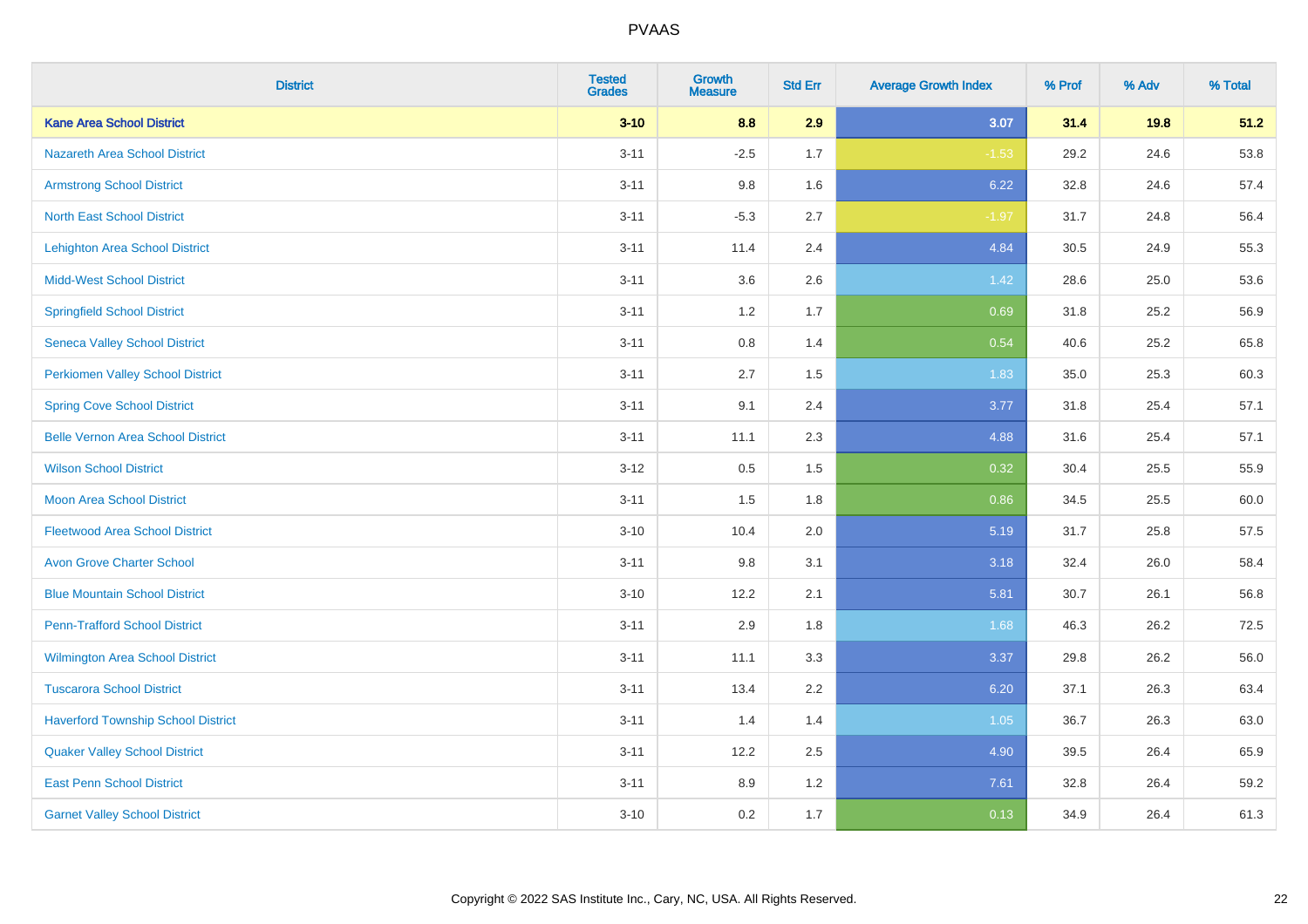| <b>District</b>                           | <b>Tested</b><br><b>Grades</b> | <b>Growth</b><br><b>Measure</b> | <b>Std Err</b> | <b>Average Growth Index</b> | % Prof | % Adv | % Total |
|-------------------------------------------|--------------------------------|---------------------------------|----------------|-----------------------------|--------|-------|---------|
| <b>Kane Area School District</b>          | $3 - 10$                       | 8.8                             | 2.9            | 3.07                        | 31.4   | 19.8  | 51.2    |
| <b>Nazareth Area School District</b>      | $3 - 11$                       | $-2.5$                          | 1.7            | $-1.53$                     | 29.2   | 24.6  | 53.8    |
| <b>Armstrong School District</b>          | $3 - 11$                       | 9.8                             | 1.6            | 6.22                        | 32.8   | 24.6  | 57.4    |
| <b>North East School District</b>         | $3 - 11$                       | $-5.3$                          | 2.7            | $-1.97$                     | 31.7   | 24.8  | 56.4    |
| <b>Lehighton Area School District</b>     | $3 - 11$                       | 11.4                            | 2.4            | 4.84                        | 30.5   | 24.9  | 55.3    |
| <b>Midd-West School District</b>          | $3 - 11$                       | 3.6                             | 2.6            | 1.42                        | 28.6   | 25.0  | 53.6    |
| <b>Springfield School District</b>        | $3 - 11$                       | 1.2                             | 1.7            | 0.69                        | 31.8   | 25.2  | 56.9    |
| <b>Seneca Valley School District</b>      | $3 - 11$                       | 0.8                             | 1.4            | 0.54                        | 40.6   | 25.2  | 65.8    |
| <b>Perkiomen Valley School District</b>   | $3 - 11$                       | 2.7                             | 1.5            | 1.83                        | 35.0   | 25.3  | 60.3    |
| <b>Spring Cove School District</b>        | $3 - 11$                       | 9.1                             | 2.4            | 3.77                        | 31.8   | 25.4  | 57.1    |
| <b>Belle Vernon Area School District</b>  | $3 - 11$                       | 11.1                            | 2.3            | 4.88                        | 31.6   | 25.4  | 57.1    |
| <b>Wilson School District</b>             | $3 - 12$                       | 0.5                             | 1.5            | 0.32                        | 30.4   | 25.5  | 55.9    |
| Moon Area School District                 | $3 - 11$                       | 1.5                             | 1.8            | 0.86                        | 34.5   | 25.5  | 60.0    |
| <b>Fleetwood Area School District</b>     | $3 - 10$                       | 10.4                            | 2.0            | 5.19                        | 31.7   | 25.8  | 57.5    |
| <b>Avon Grove Charter School</b>          | $3 - 11$                       | 9.8                             | 3.1            | 3.18                        | 32.4   | 26.0  | 58.4    |
| <b>Blue Mountain School District</b>      | $3 - 10$                       | 12.2                            | 2.1            | 5.81                        | 30.7   | 26.1  | 56.8    |
| <b>Penn-Trafford School District</b>      | $3 - 11$                       | 2.9                             | 1.8            | 1.68                        | 46.3   | 26.2  | 72.5    |
| Wilmington Area School District           | $3 - 11$                       | 11.1                            | 3.3            | 3.37                        | 29.8   | 26.2  | 56.0    |
| <b>Tuscarora School District</b>          | $3 - 11$                       | 13.4                            | 2.2            | 6.20                        | 37.1   | 26.3  | 63.4    |
| <b>Haverford Township School District</b> | $3 - 11$                       | 1.4                             | 1.4            | 1.05                        | 36.7   | 26.3  | 63.0    |
| <b>Quaker Valley School District</b>      | $3 - 11$                       | 12.2                            | 2.5            | 4.90                        | 39.5   | 26.4  | 65.9    |
| <b>East Penn School District</b>          | $3 - 11$                       | 8.9                             | 1.2            | 7.61                        | 32.8   | 26.4  | 59.2    |
| <b>Garnet Valley School District</b>      | $3 - 10$                       | 0.2                             | 1.7            | 0.13                        | 34.9   | 26.4  | 61.3    |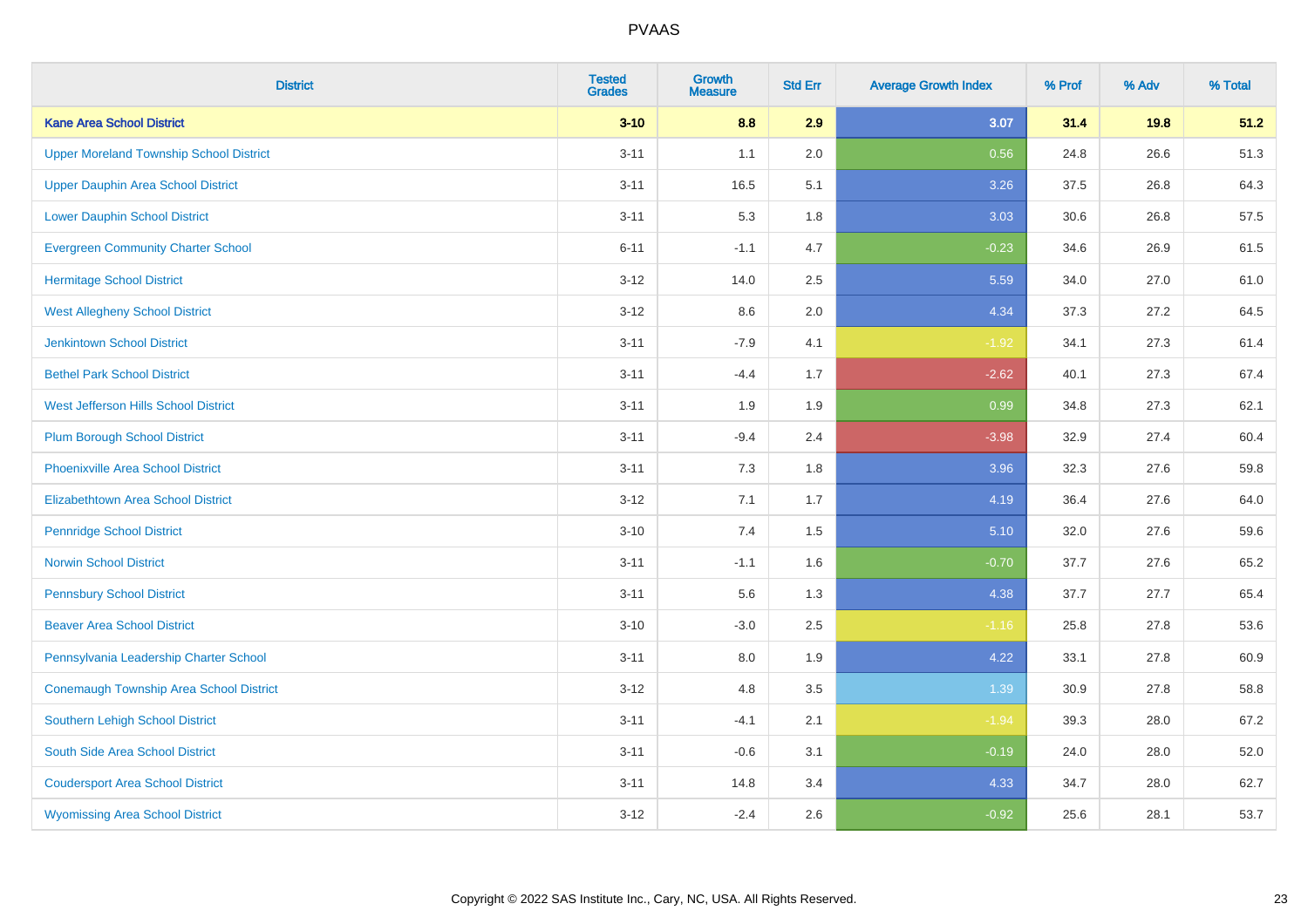| <b>District</b>                                | <b>Tested</b><br><b>Grades</b> | <b>Growth</b><br><b>Measure</b> | <b>Std Err</b> | <b>Average Growth Index</b> | % Prof | % Adv | % Total |
|------------------------------------------------|--------------------------------|---------------------------------|----------------|-----------------------------|--------|-------|---------|
| <b>Kane Area School District</b>               | $3 - 10$                       | 8.8                             | 2.9            | 3.07                        | 31.4   | 19.8  | 51.2    |
| <b>Upper Moreland Township School District</b> | $3 - 11$                       | 1.1                             | 2.0            | 0.56                        | 24.8   | 26.6  | 51.3    |
| <b>Upper Dauphin Area School District</b>      | $3 - 11$                       | 16.5                            | 5.1            | 3.26                        | 37.5   | 26.8  | 64.3    |
| <b>Lower Dauphin School District</b>           | $3 - 11$                       | 5.3                             | 1.8            | 3.03                        | 30.6   | 26.8  | 57.5    |
| <b>Evergreen Community Charter School</b>      | $6 - 11$                       | $-1.1$                          | 4.7            | $-0.23$                     | 34.6   | 26.9  | 61.5    |
| <b>Hermitage School District</b>               | $3 - 12$                       | 14.0                            | 2.5            | 5.59                        | 34.0   | 27.0  | 61.0    |
| <b>West Allegheny School District</b>          | $3 - 12$                       | $8.6\,$                         | 2.0            | 4.34                        | 37.3   | 27.2  | 64.5    |
| <b>Jenkintown School District</b>              | $3 - 11$                       | $-7.9$                          | 4.1            | $-1.92$                     | 34.1   | 27.3  | 61.4    |
| <b>Bethel Park School District</b>             | $3 - 11$                       | $-4.4$                          | 1.7            | $-2.62$                     | 40.1   | 27.3  | 67.4    |
| <b>West Jefferson Hills School District</b>    | $3 - 11$                       | 1.9                             | 1.9            | 0.99                        | 34.8   | 27.3  | 62.1    |
| <b>Plum Borough School District</b>            | $3 - 11$                       | $-9.4$                          | 2.4            | $-3.98$                     | 32.9   | 27.4  | 60.4    |
| <b>Phoenixville Area School District</b>       | $3 - 11$                       | 7.3                             | 1.8            | 3.96                        | 32.3   | 27.6  | 59.8    |
| Elizabethtown Area School District             | $3 - 12$                       | 7.1                             | 1.7            | 4.19                        | 36.4   | 27.6  | 64.0    |
| <b>Pennridge School District</b>               | $3 - 10$                       | 7.4                             | 1.5            | 5.10                        | 32.0   | 27.6  | 59.6    |
| <b>Norwin School District</b>                  | $3 - 11$                       | $-1.1$                          | 1.6            | $-0.70$                     | 37.7   | 27.6  | 65.2    |
| <b>Pennsbury School District</b>               | $3 - 11$                       | 5.6                             | 1.3            | 4.38                        | 37.7   | 27.7  | 65.4    |
| <b>Beaver Area School District</b>             | $3 - 10$                       | $-3.0$                          | 2.5            | $-1.16$                     | 25.8   | 27.8  | 53.6    |
| Pennsylvania Leadership Charter School         | $3 - 11$                       | $8.0\,$                         | 1.9            | 4.22                        | 33.1   | 27.8  | 60.9    |
| <b>Conemaugh Township Area School District</b> | $3 - 12$                       | 4.8                             | 3.5            | 1.39                        | 30.9   | 27.8  | 58.8    |
| Southern Lehigh School District                | $3 - 11$                       | $-4.1$                          | 2.1            | $-1.94$                     | 39.3   | 28.0  | 67.2    |
| South Side Area School District                | $3 - 11$                       | $-0.6$                          | 3.1            | $-0.19$                     | 24.0   | 28.0  | 52.0    |
| <b>Coudersport Area School District</b>        | $3 - 11$                       | 14.8                            | 3.4            | 4.33                        | 34.7   | 28.0  | 62.7    |
| <b>Wyomissing Area School District</b>         | $3 - 12$                       | $-2.4$                          | 2.6            | $-0.92$                     | 25.6   | 28.1  | 53.7    |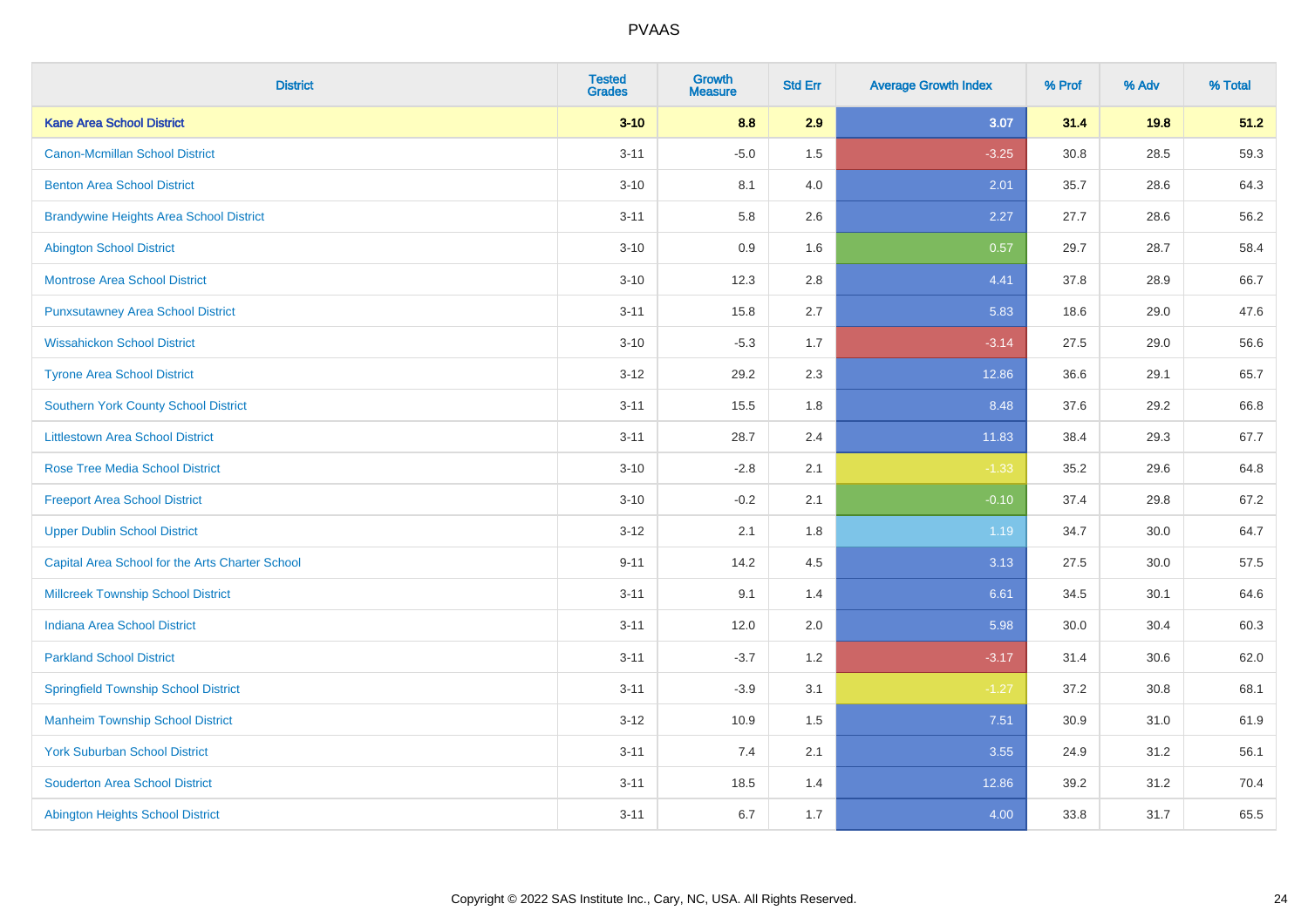| <b>District</b>                                 | <b>Tested</b><br><b>Grades</b> | <b>Growth</b><br><b>Measure</b> | <b>Std Err</b> | <b>Average Growth Index</b> | % Prof | % Adv | % Total |
|-------------------------------------------------|--------------------------------|---------------------------------|----------------|-----------------------------|--------|-------|---------|
| <b>Kane Area School District</b>                | $3 - 10$                       | 8.8                             | 2.9            | 3.07                        | 31.4   | 19.8  | 51.2    |
| <b>Canon-Mcmillan School District</b>           | $3 - 11$                       | $-5.0$                          | 1.5            | $-3.25$                     | 30.8   | 28.5  | 59.3    |
| <b>Benton Area School District</b>              | $3 - 10$                       | 8.1                             | 4.0            | 2.01                        | 35.7   | 28.6  | 64.3    |
| <b>Brandywine Heights Area School District</b>  | $3 - 11$                       | 5.8                             | 2.6            | 2.27                        | 27.7   | 28.6  | 56.2    |
| <b>Abington School District</b>                 | $3 - 10$                       | 0.9                             | 1.6            | 0.57                        | 29.7   | 28.7  | 58.4    |
| <b>Montrose Area School District</b>            | $3 - 10$                       | 12.3                            | 2.8            | 4.41                        | 37.8   | 28.9  | 66.7    |
| <b>Punxsutawney Area School District</b>        | $3 - 11$                       | 15.8                            | 2.7            | 5.83                        | 18.6   | 29.0  | 47.6    |
| <b>Wissahickon School District</b>              | $3 - 10$                       | $-5.3$                          | 1.7            | $-3.14$                     | 27.5   | 29.0  | 56.6    |
| <b>Tyrone Area School District</b>              | $3 - 12$                       | 29.2                            | 2.3            | 12.86                       | 36.6   | 29.1  | 65.7    |
| <b>Southern York County School District</b>     | $3 - 11$                       | 15.5                            | 1.8            | 8.48                        | 37.6   | 29.2  | 66.8    |
| <b>Littlestown Area School District</b>         | $3 - 11$                       | 28.7                            | 2.4            | 11.83                       | 38.4   | 29.3  | 67.7    |
| <b>Rose Tree Media School District</b>          | $3 - 10$                       | $-2.8$                          | 2.1            | $-1.33$                     | 35.2   | 29.6  | 64.8    |
| <b>Freeport Area School District</b>            | $3 - 10$                       | $-0.2$                          | 2.1            | $-0.10$                     | 37.4   | 29.8  | 67.2    |
| <b>Upper Dublin School District</b>             | $3 - 12$                       | 2.1                             | 1.8            | 1.19                        | 34.7   | 30.0  | 64.7    |
| Capital Area School for the Arts Charter School | $9 - 11$                       | 14.2                            | 4.5            | 3.13                        | 27.5   | 30.0  | 57.5    |
| <b>Millcreek Township School District</b>       | $3 - 11$                       | 9.1                             | 1.4            | 6.61                        | 34.5   | 30.1  | 64.6    |
| <b>Indiana Area School District</b>             | $3 - 11$                       | 12.0                            | 2.0            | 5.98                        | 30.0   | 30.4  | 60.3    |
| <b>Parkland School District</b>                 | $3 - 11$                       | $-3.7$                          | 1.2            | $-3.17$                     | 31.4   | 30.6  | 62.0    |
| <b>Springfield Township School District</b>     | $3 - 11$                       | $-3.9$                          | 3.1            | $-1.27$                     | 37.2   | 30.8  | 68.1    |
| <b>Manheim Township School District</b>         | $3 - 12$                       | 10.9                            | 1.5            | 7.51                        | 30.9   | 31.0  | 61.9    |
| <b>York Suburban School District</b>            | $3 - 11$                       | 7.4                             | 2.1            | 3.55                        | 24.9   | 31.2  | 56.1    |
| <b>Souderton Area School District</b>           | $3 - 11$                       | 18.5                            | 1.4            | 12.86                       | 39.2   | 31.2  | 70.4    |
| <b>Abington Heights School District</b>         | $3 - 11$                       | 6.7                             | 1.7            | 4.00                        | 33.8   | 31.7  | 65.5    |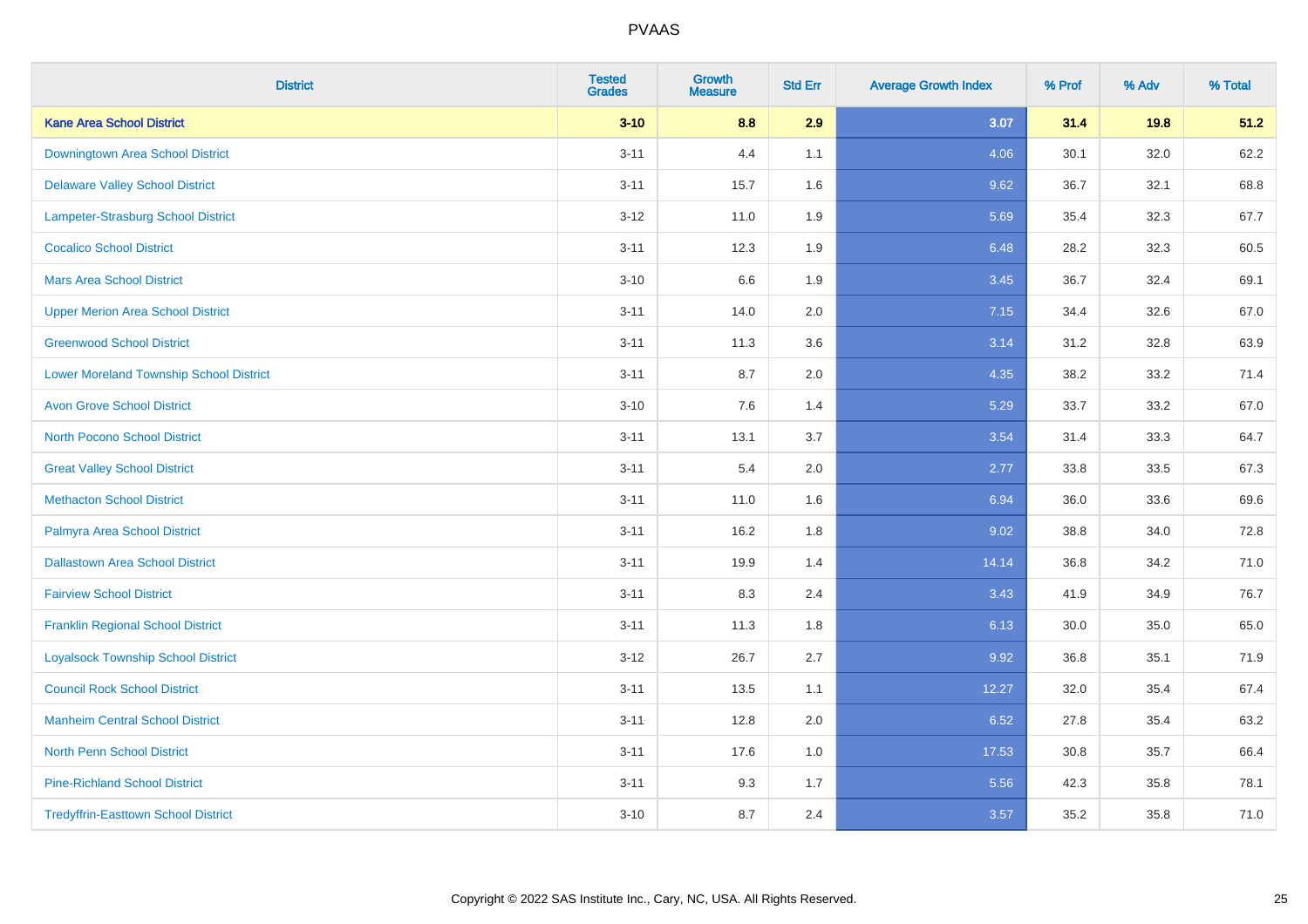| <b>District</b>                                | <b>Tested</b><br><b>Grades</b> | <b>Growth</b><br><b>Measure</b> | <b>Std Err</b> | <b>Average Growth Index</b> | % Prof | % Adv | % Total |
|------------------------------------------------|--------------------------------|---------------------------------|----------------|-----------------------------|--------|-------|---------|
| <b>Kane Area School District</b>               | $3 - 10$                       | 8.8                             | 2.9            | 3.07                        | 31.4   | 19.8  | 51.2    |
| Downingtown Area School District               | $3 - 11$                       | 4.4                             | 1.1            | 4.06                        | 30.1   | 32.0  | 62.2    |
| <b>Delaware Valley School District</b>         | $3 - 11$                       | 15.7                            | 1.6            | 9.62                        | 36.7   | 32.1  | 68.8    |
| Lampeter-Strasburg School District             | $3 - 12$                       | 11.0                            | 1.9            | 5.69                        | 35.4   | 32.3  | 67.7    |
| <b>Cocalico School District</b>                | $3 - 11$                       | 12.3                            | 1.9            | 6.48                        | 28.2   | 32.3  | 60.5    |
| <b>Mars Area School District</b>               | $3 - 10$                       | 6.6                             | 1.9            | 3.45                        | 36.7   | 32.4  | 69.1    |
| <b>Upper Merion Area School District</b>       | $3 - 11$                       | 14.0                            | 2.0            | 7.15                        | 34.4   | 32.6  | 67.0    |
| <b>Greenwood School District</b>               | $3 - 11$                       | 11.3                            | 3.6            | 3.14                        | 31.2   | 32.8  | 63.9    |
| <b>Lower Moreland Township School District</b> | $3 - 11$                       | 8.7                             | 2.0            | 4.35                        | 38.2   | 33.2  | 71.4    |
| <b>Avon Grove School District</b>              | $3 - 10$                       | 7.6                             | 1.4            | 5.29                        | 33.7   | 33.2  | 67.0    |
| <b>North Pocono School District</b>            | $3 - 11$                       | 13.1                            | 3.7            | 3.54                        | 31.4   | 33.3  | 64.7    |
| <b>Great Valley School District</b>            | $3 - 11$                       | 5.4                             | 2.0            | 2.77                        | 33.8   | 33.5  | 67.3    |
| <b>Methacton School District</b>               | $3 - 11$                       | 11.0                            | 1.6            | 6.94                        | 36.0   | 33.6  | 69.6    |
| Palmyra Area School District                   | $3 - 11$                       | 16.2                            | 1.8            | 9.02                        | 38.8   | 34.0  | 72.8    |
| <b>Dallastown Area School District</b>         | $3 - 11$                       | 19.9                            | 1.4            | 14.14                       | 36.8   | 34.2  | 71.0    |
| <b>Fairview School District</b>                | $3 - 11$                       | 8.3                             | 2.4            | 3.43                        | 41.9   | 34.9  | 76.7    |
| <b>Franklin Regional School District</b>       | $3 - 11$                       | 11.3                            | 1.8            | 6.13                        | 30.0   | 35.0  | 65.0    |
| <b>Loyalsock Township School District</b>      | $3 - 12$                       | 26.7                            | 2.7            | 9.92                        | 36.8   | 35.1  | 71.9    |
| <b>Council Rock School District</b>            | $3 - 11$                       | 13.5                            | 1.1            | 12.27                       | 32.0   | 35.4  | 67.4    |
| <b>Manheim Central School District</b>         | $3 - 11$                       | 12.8                            | 2.0            | 6.52                        | 27.8   | 35.4  | 63.2    |
| <b>North Penn School District</b>              | $3 - 11$                       | 17.6                            | 1.0            | 17.53                       | 30.8   | 35.7  | 66.4    |
| <b>Pine-Richland School District</b>           | $3 - 11$                       | 9.3                             | 1.7            | 5.56                        | 42.3   | 35.8  | 78.1    |
| <b>Tredyffrin-Easttown School District</b>     | $3 - 10$                       | 8.7                             | 2.4            | 3.57                        | 35.2   | 35.8  | 71.0    |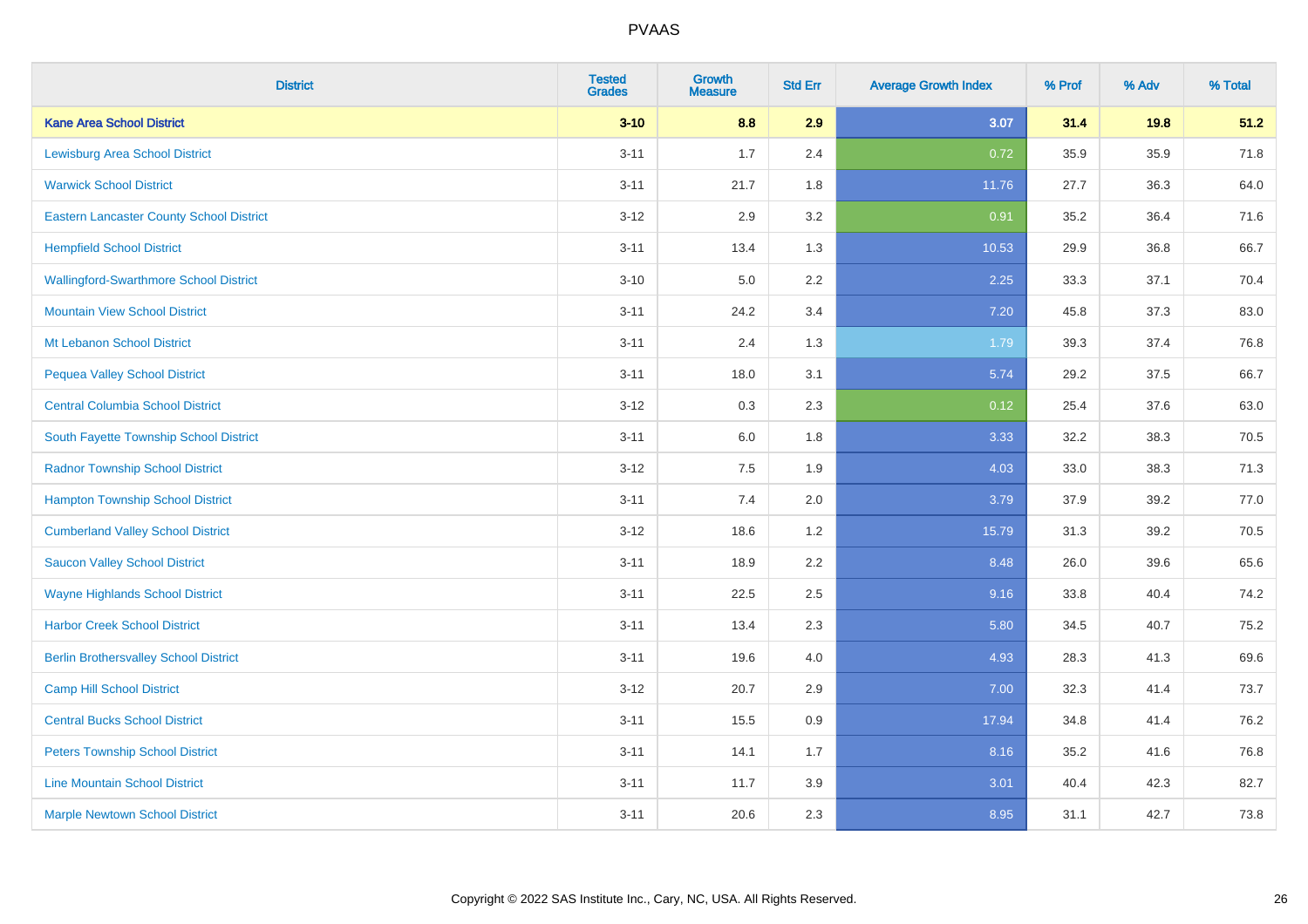| <b>District</b>                                 | <b>Tested</b><br><b>Grades</b> | <b>Growth</b><br><b>Measure</b> | <b>Std Err</b> | <b>Average Growth Index</b> | % Prof | % Adv | % Total |
|-------------------------------------------------|--------------------------------|---------------------------------|----------------|-----------------------------|--------|-------|---------|
| <b>Kane Area School District</b>                | $3 - 10$                       | 8.8                             | 2.9            | 3.07                        | 31.4   | 19.8  | 51.2    |
| <b>Lewisburg Area School District</b>           | $3 - 11$                       | 1.7                             | 2.4            | 0.72                        | 35.9   | 35.9  | 71.8    |
| <b>Warwick School District</b>                  | $3 - 11$                       | 21.7                            | 1.8            | 11.76                       | 27.7   | 36.3  | 64.0    |
| <b>Eastern Lancaster County School District</b> | $3 - 12$                       | 2.9                             | $3.2\,$        | 0.91                        | 35.2   | 36.4  | 71.6    |
| <b>Hempfield School District</b>                | $3 - 11$                       | 13.4                            | 1.3            | 10.53                       | 29.9   | 36.8  | 66.7    |
| <b>Wallingford-Swarthmore School District</b>   | $3 - 10$                       | $5.0\,$                         | 2.2            | 2.25                        | 33.3   | 37.1  | 70.4    |
| <b>Mountain View School District</b>            | $3 - 11$                       | 24.2                            | 3.4            | 7.20                        | 45.8   | 37.3  | 83.0    |
| Mt Lebanon School District                      | $3 - 11$                       | 2.4                             | 1.3            | 1.79                        | 39.3   | 37.4  | 76.8    |
| <b>Pequea Valley School District</b>            | $3 - 11$                       | 18.0                            | 3.1            | 5.74                        | 29.2   | 37.5  | 66.7    |
| <b>Central Columbia School District</b>         | $3 - 12$                       | $0.3\,$                         | 2.3            | 0.12                        | 25.4   | 37.6  | 63.0    |
| South Fayette Township School District          | $3 - 11$                       | 6.0                             | 1.8            | 3.33                        | 32.2   | 38.3  | 70.5    |
| <b>Radnor Township School District</b>          | $3 - 12$                       | 7.5                             | 1.9            | 4.03                        | 33.0   | 38.3  | 71.3    |
| <b>Hampton Township School District</b>         | $3 - 11$                       | 7.4                             | 2.0            | 3.79                        | 37.9   | 39.2  | 77.0    |
| <b>Cumberland Valley School District</b>        | $3 - 12$                       | 18.6                            | 1.2            | 15.79                       | 31.3   | 39.2  | 70.5    |
| <b>Saucon Valley School District</b>            | $3 - 11$                       | 18.9                            | 2.2            | 8.48                        | 26.0   | 39.6  | 65.6    |
| <b>Wayne Highlands School District</b>          | $3 - 11$                       | 22.5                            | 2.5            | 9.16                        | 33.8   | 40.4  | 74.2    |
| <b>Harbor Creek School District</b>             | $3 - 11$                       | 13.4                            | 2.3            | 5.80                        | 34.5   | 40.7  | 75.2    |
| <b>Berlin Brothersvalley School District</b>    | $3 - 11$                       | 19.6                            | 4.0            | 4.93                        | 28.3   | 41.3  | 69.6    |
| <b>Camp Hill School District</b>                | $3 - 12$                       | 20.7                            | 2.9            | 7.00                        | 32.3   | 41.4  | 73.7    |
| <b>Central Bucks School District</b>            | $3 - 11$                       | 15.5                            | 0.9            | 17.94                       | 34.8   | 41.4  | 76.2    |
| <b>Peters Township School District</b>          | $3 - 11$                       | 14.1                            | 1.7            | 8.16                        | 35.2   | 41.6  | 76.8    |
| <b>Line Mountain School District</b>            | $3 - 11$                       | 11.7                            | 3.9            | 3.01                        | 40.4   | 42.3  | 82.7    |
| <b>Marple Newtown School District</b>           | $3 - 11$                       | 20.6                            | 2.3            | 8.95                        | 31.1   | 42.7  | 73.8    |